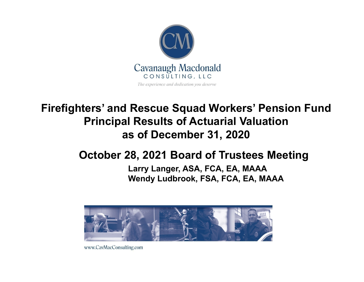

## **Firefighters' and Rescue Squad Workers' Pension Fund Principal Results of Actuarial Valuation as of December 31, 2020**

## **October 28, 2021 Board of Trustees Meeting**

#### **Larry Langer, ASA, FCA, EA, MAAA Wendy Ludbrook, FSA, FCA, EA, MAAA**



www.CavMacConsulting.com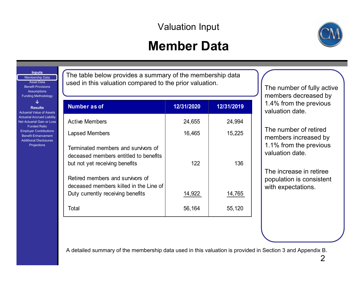### Valuation Input

# **Member Data**



Membership Data Asset DataBenefit Provisions**Assumptions** Funding Methodology **↓ Results**Actuarial Value of Assets Actuarial Accrued Liability Net Actuarial Gain or Loss Funded RatioEmployer Contributions

**Inputs**

Benefit EnhancementAdditional Disclosures Projections

The table below provides a summary of the membership data used in this valuation compared to the prior valuation.

| Number as of                                                                                                    | 12/31/2020 | 12/31/2019 |
|-----------------------------------------------------------------------------------------------------------------|------------|------------|
| <b>Active Members</b>                                                                                           | 24,655     | 24,994     |
| Lapsed Members                                                                                                  | 16,465     | 15,225     |
| Terminated members and survivors of<br>deceased members entitled to benefits<br>but not yet receiving benefits  | 122        | 136        |
| Retired members and survivors of<br>deceased members killed in the Line of<br>Duty currently receiving benefits | 14,922     | 14,765     |
| Total                                                                                                           | 56,164     | 55,120     |

The number of fully active members decreased by 1.4% from the previous valuation date.

The number of retired members increased by 1.1% from the previous valuation date.

The increase in retiree population is consistent with expectations.

A detailed summary of the membership data used in this valuation is provided in Section 3 and Appendix B.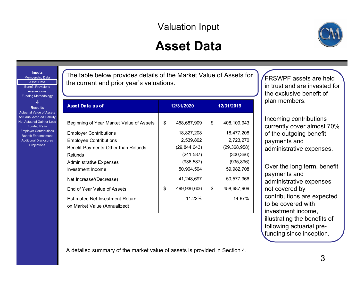### Valuation Input

## **Asset Data**



**Inputs** Membership Data Asset DataBenefit Provisions**Assumptions** Funding Methodology **↓ Results**Actuarial Value of Assets

Actuarial Accrued Liability Net Actuarial Gain or Loss Funded RatioEmployer Contributions Benefit EnhancementAdditional Disclosures**Projections** 

The table below provides details of the Market Value of Assets for the current and prior year's valuations.

| <b>Asset Data as of</b>                                                                                                                                                                               | 12/31/2020                                                                                 | 12/31/2019                                                                                   |  |  |
|-------------------------------------------------------------------------------------------------------------------------------------------------------------------------------------------------------|--------------------------------------------------------------------------------------------|----------------------------------------------------------------------------------------------|--|--|
| Beginning of Year Market Value of Assets<br><b>Employer Contributions</b><br><b>Employee Contributions</b><br>Benefit Payments Other than Refunds<br><b>Refunds</b><br><b>Administrative Expenses</b> | \$<br>458,687,909<br>18,827,208<br>2,539,802<br>(29, 844, 643)<br>(241, 587)<br>(936, 587) | \$<br>408, 109, 943<br>18,477,208<br>2,723,270<br>(29, 368, 958)<br>(300, 366)<br>(935, 896) |  |  |
| Investment Income<br>Net Increase/(Decrease)<br>End of Year Value of Assets<br><b>Estimated Net Investment Return</b><br>on Market Value (Annualized)                                                 | 50,904,504<br>41,248,697<br>\$<br>499,936,606<br>11.22%                                    | 59,982,708<br>50,577,966<br>\$<br>458,687,909<br>14.87%                                      |  |  |

FRSWPF assets are held in trust and are invested for the exclusive benefit of plan members.

Incoming contributions currently cover almost 70% of the outgoing benefit payments and administrative expenses.

Over the long term, benefit payments and administrative expenses not covered by contributions are expected to be covered with investment income, illustrating the benefits of following actuarial prefunding since inception.

A detailed summary of the market value of assets is provided in Section 4.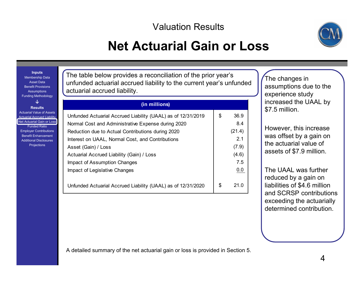

## **Net Actuarial Gain or Loss**

**Inputs** Membership Data Asset DataBenefit Provisions**Assumptions** Funding Methodology

**↓**

#### **Results**

Actuarial Value of AssetsActuarial Accrued Liability Net Actuarial Gain or Loss

Funded RatioEmployer Contributions Benefit EnhancementAdditional Disclosures**Projections** 

The table below provides a reconciliation of the prior year's unfunded actuarial accrued liability to the current year's unfunded actuarial accrued liability.

### **(in millions)**

| Unfunded Actuarial Accrued Liability (UAAL) as of 12/31/2019 | \$<br>36.9 |
|--------------------------------------------------------------|------------|
| Normal Cost and Administrative Expense during 2020           | 8.4        |
| Reduction due to Actual Contributions during 2020            | (21.4)     |
| Interest on UAAL, Normal Cost, and Contributions             | 2.1        |
| Asset (Gain) / Loss                                          | (7.9)      |
| Actuarial Accrued Liability (Gain) / Loss                    | (4.6)      |
| Impact of Assumption Changes                                 | 7.5        |
| Impact of Legislative Changes                                | 0.0        |
|                                                              |            |
| Unfunded Actuarial Accrued Liability (UAAL) as of 12/31/2020 | \$<br>21 O |
|                                                              |            |

The changes in assumptions due to the experience study increased the UAAL by \$7.5 million.

However, this increase was offset by a gain on the actuarial value of assets of \$7.9 million.

The UAAL was further reduced by a gain on liabilities of \$4.6 million and SCRSP contributions exceeding the actuarially determined contribution.

A detailed summary of the net actuarial gain or loss is provided in Section 5.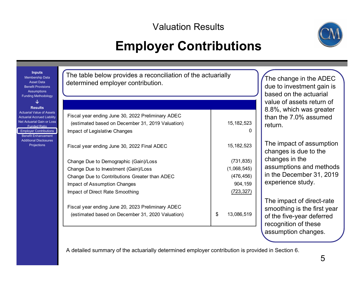# **Employer Contributions**



| <b>Inputs</b><br>Membership Data<br><b>Asset Data</b><br><b>Benefit Provisions</b><br><b>Assumptions</b><br><b>Funding Methodology</b>                                                                            | The table below provides a reconciliation of the actuarially<br>determined employer contribution.                                                                                                                                                       | The change in the ADEC<br>due to investment gain is<br>based on the actuarial    |                                                                                                                                                 |
|-------------------------------------------------------------------------------------------------------------------------------------------------------------------------------------------------------------------|---------------------------------------------------------------------------------------------------------------------------------------------------------------------------------------------------------------------------------------------------------|----------------------------------------------------------------------------------|-------------------------------------------------------------------------------------------------------------------------------------------------|
| J<br><b>Results</b><br><b>Actuarial Value of Assets</b><br><b>Actuarial Accrued Liability</b><br>Net Actuarial Gain or Loss<br><b>Funded Ratio</b><br><b>Employer Contributions</b><br><b>Benefit Enhancement</b> | Fiscal year ending June 30, 2022 Preliminary ADEC<br>(estimated based on December 31, 2019 Valuation)<br>Impact of Legislative Changes                                                                                                                  | 15, 182, 523                                                                     | value of assets return of<br>8.8%, which was greater<br>than the 7.0% assumed<br>return.                                                        |
| <b>Additional Disclosures</b><br>Projections                                                                                                                                                                      | Fiscal year ending June 30, 2022 Final ADEC<br>Change Due to Demographic (Gain)/Loss<br>Change Due to Investment (Gain)/Loss<br>Change Due to Contributions Greater than ADEC<br><b>Impact of Assumption Changes</b><br>Impact of Direct Rate Smoothing | 15, 182, 523<br>(731, 835)<br>(1,068,545)<br>(476, 456)<br>904,159<br>(723, 327) | The impact of assumption<br>changes is due to the<br>changes in the<br>assumptions and methods<br>in the December 31, 2019<br>experience study. |
|                                                                                                                                                                                                                   | Fiscal year ending June 20, 2023 Preliminary ADEC<br>(estimated based on December 31, 2020 Valuation)                                                                                                                                                   | \$<br>13,086,519                                                                 | The impact of direct-rate<br>smoothing is the first year<br>of the five-year deferred<br>recognition of these                                   |

A detailed summary of the actuarially determined employer contribution is provided in Section 6.

assumption changes.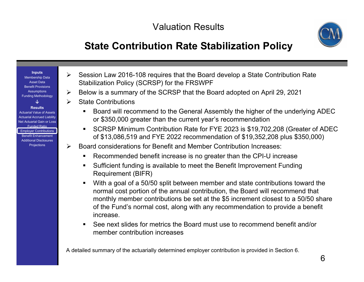

### **State Contribution Rate Stabilization Policy**

#### **Inputs**

Membership Data Asset DataBenefit Provisions**Assumptions** Funding Methodology

**↓**

#### **Results**

Actuarial Value of AssetsActuarial Accrued Liability Net Actuarial Gain or LossFunded RatioEmployer Contributions Benefit EnhancementAdditional DisclosuresProjections

- $\blacktriangleright$  Session Law 2016-108 requires that the Board develop a State Contribution Rate Stabilization Policy (SCRSP) for the FRSWPF
- ➤ Below is a summary of the SCRSP that the Board adopted on April 29, 2021
- $\blacktriangleright$  State Contributions
	- Board will recommend to the General Assembly the higher of the underlying ADEC or \$350,000 greater than the current year's recommendation
	- SCRSP Minimum Contribution Rate for FYE 2023 is \$19,702,208 (Greater of ADEC of \$13,086,519 and FYE 2022 recommendation of \$19,352,208 plus \$350,000)
- $\blacktriangleright$  Board considerations for Benefit and Member Contribution Increases:
	- Recommended benefit increase is no greater than the CPI-U increase
	- Sufficient funding is available to meet the Benefit Improvement Funding Requirement (BIFR)
	- Г With a goal of a 50/50 split between member and state contributions toward the normal cost portion of the annual contribution, the Board will recommend that monthly member contributions be set at the \$5 increment closest to a 50/50 share of the Fund's normal cost, along with any recommendation to provide a benefit increase.
	- See next slides for metrics the Board must use to recommend benefit and/or member contribution increases

A detailed summary of the actuarially determined employer contribution is provided in Section 6.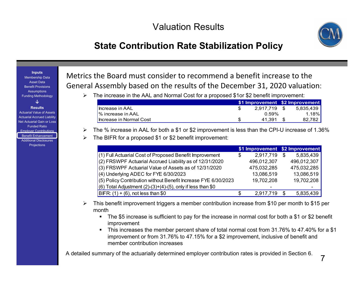

### **State Contribution Rate Stabilization Policy**

**Inputs**

Membership Data Asset DataBenefit Provisions**Assumptions** Funding Methodology

**↓**

**Results**

Actuarial Value of AssetsActuarial Accrued Liability Net Actuarial Gain or Loss Funded RatioEmployer Contributions Benefit EnhancementAdditional Disclosures**Projections** 

Metrics the Board must consider to recommend <sup>a</sup> benefit increase to the General Assembly based on the results of the December 31, 2020 valuation:

The increase in the AAL and Normal Cost for a proposed \$1or \$2 benefit improvement:

|                               | \$1 Improvement \$2 Improvement |           |
|-------------------------------|---------------------------------|-----------|
| Increase in AAL               | 2.917.719 \$                    | 5.835.439 |
| $\frac{1}{6}$ increase in AAL | $0.59\%$                        | $1.18\%$  |
| Increase in Normal Cost       | 41.391                          | 82.782    |

- $\triangleright$  The % increase in AAL for both a \$1 or \$2 improvement is less than the CPI-U increase of 1.36%
- ➤ The BIFR for a proposed \$1 or \$2 benefit improvement:

|                                                                  |   | \$1 Improvement \$2 Improvement |     |             |
|------------------------------------------------------------------|---|---------------------------------|-----|-------------|
| $(1)$ Full Actuarial Cost of Proposed Benefit Improvement        | S | 2,917,719                       | \$  | 5,835,439   |
| $(2)$ FRSWPF Actuarial Accrued Liability as of 12/31/2020        |   | 496,012,307                     |     | 496,012,307 |
| $(3)$ FRSWPF Actuarial Value of Assets as of 12/31/2020          |   | 475,032,285                     |     | 475,032,285 |
| $(4)$ Underlying ADEC for FYE 6/30/2023                          |   | 13,086,519                      |     | 13,086,519  |
| (5) Policy Contribution without Benefit Increase FYE 6/30/2023   |   | 19,702,208                      |     | 19,702,208  |
| $(6)$ Total Adjustment $(2)-(3)+(4)-(5)$ , only if less than \$0 |   |                                 |     |             |
| BIFR: $(1) + (6)$ , not less than \$0                            |   | 2,917,719                       | \$. | 5,835,439   |

- ➤ This benefit improvement triggers a member contribution increase from \$10 per month to \$15 per month
	- The \$5 increase is sufficient to pay for the increase in normal cost for both a \$1 or \$2 benefit improvement
	- This increases the member percent share of total normal cost from 31.76% to 47.40% for a \$1 improvement or from 31.76% to 47.15% for a \$2 improvement, inclusive of benefit and member contribution increases

A detailed summary of the actuarially determined employer contribution rates is provided in Section 6.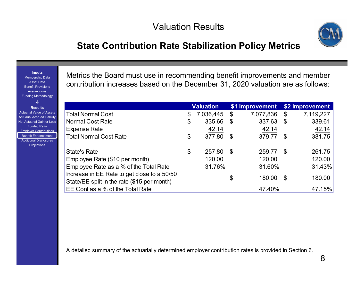

### **State Contribution Rate Stabilization Policy Metrics**

Membership Data Asset Data Benefit Provisions**Assumptions** Funding Methodology **↓ Results**Actuarial Value of Assets Actuarial Accrued Liability Net Actuarial Gain or Loss Funded RatioEmployer Contributions Benefit Enhancement Additional Disclosures Projections

**Inputs**

Metrics the Board must use in recommending benefit improvements and member contribution increases based on the December 31, 2020 valuation are as follows:

|                                                                                            | <b>Valuation</b> | \$1 Improvement |     | \$2 Improvement |
|--------------------------------------------------------------------------------------------|------------------|-----------------|-----|-----------------|
| <b>Total Normal Cost</b>                                                                   | \$<br>7,036,445  | \$<br>7,077,836 | \$  | 7,119,227       |
| <b>Normal Cost Rate</b>                                                                    | \$<br>335.66     | \$<br>337.63    | \$  | 339.61          |
| <b>Expense Rate</b>                                                                        | 42.14            | 42.14           |     | 42.14           |
| <b>Total Normal Cost Rate</b>                                                              | \$<br>377.80     | \$<br>379.77    | \$  | 381.75          |
| <b>State's Rate</b>                                                                        | \$<br>257.80     | \$<br>259.77    | -\$ | 261.75          |
| Employee Rate (\$10 per month)                                                             | 120.00           | 120.00          |     | 120.00          |
| Employee Rate as a % of the Total Rate                                                     | 31.76%           | 31.60%          |     | 31.43%          |
| Increase in EE Rate to get close to a 50/50<br>State/EE split in the rate (\$15 per month) |                  | \$<br>180.00    | \$  | 180.00          |
| EE Cont as a % of the Total Rate                                                           |                  | 47.40%          |     | 47.15%          |

A detailed summary of the actuarially determined employer contribution rates is provided in Section 6.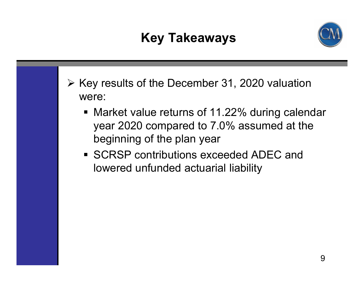# **Key Takeaways**



- $\triangleright$  Key results of the December 31, 2020 valuation were:
	- Market value returns of 11.22% during calendar year 2020 compared to 7.0% assumed at the beginning of the plan year
	- SCRSP contributions exceeded ADEC and lowered unfunded actuarial liability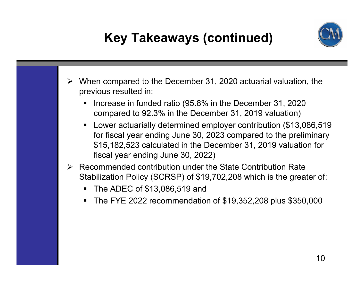

# **Key Takeaways (continued)**

- $\blacktriangleright$  When compared to the December 31, 2020 actuarial valuation, the previous resulted in:
	- $\blacksquare$  Increase in funded ratio (95.8% in the December 31, 2020 compared to 92.3% in the December 31, 2019 valuation)
	- Lower actuarially determined employer contribution (\$13,086,519 for fiscal year ending June 30, 2023 compared to the preliminary \$15,182,523 calculated in the December 31, 2019 valuation for fiscal year ending June 30, 2022)
- $\triangleright$  Recommended contribution under the State Contribution Rate Stabilization Policy (SCRSP) of \$19,702,208 which is the greater of:
	- $\blacksquare$ The ADEC of \$13,086,519 and
	- $\blacksquare$ The FYE 2022 recommendation of \$19,352,208 plus \$350,000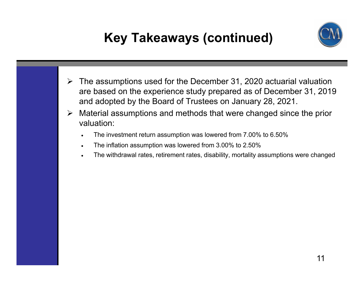# **Key Takeaways (continued)**



- $\blacktriangleright$  The assumptions used for the December 31, 2020 actuarial valuation are based on the experience study prepared as of December 31, 2019 and adopted by the Board of Trustees on January 28, 2021.
- $\blacktriangleright$  Material assumptions and methods that were changed since the prior valuation:
	- . The investment return assumption was lowered from 7.00% to 6.50%
	- $\bullet$ The inflation assumption was lowered from 3.00% to 2.50%
	- . The withdrawal rates, retirement rates, disability, mortality assumptions were changed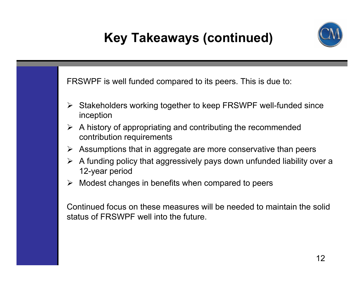# **Key Takeaways (continued)**



FRSWPF is well funded compared to its peers. This is due to:

- **≻** Stakeholders working together to keep FRSWPF well-funded since inception
- $\triangleright$  A history of appropriating and contributing the recommended contribution requirements
- $\blacktriangleright$ Assumptions that in aggregate are more conservative than peers
- $\triangleright$  A funding policy that aggressively pays down unfunded liability over a 12-year period
- $\blacktriangleright$ Modest changes in benefits when compared to peers

Continued focus on these measures will be needed to maintain the solid status of FRSWPF well into the future.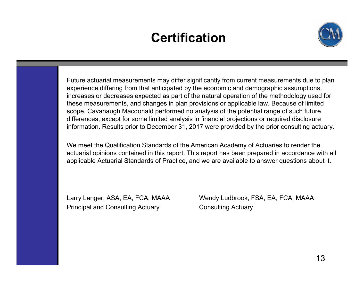# **Certification**



Future actuarial measurements may differ significantly from current measurements due to plan experience differing from that anticipated by the economic and demographic assumptions, increases or decreases expected as part of the natural operation of the methodology used for these measurements, and changes in plan provisions or applicable law. Because of limited scope, Cavanaugh Macdonald performed no analysis of the potential range of such future differences, except for some limited analysis in financial projections or required disclosure information. Results prior to December 31, 2017 were provided by the prior consulting actuary.

We meet the Qualification Standards of the American Academy of Actuaries to render the actuarial opinions contained in this report. This report has been prepared in accordance with all applicable Actuarial Standards of Practice, and we are available to answer questions about it.

Principal and Consulting Actuary **Consulting Actuary** 

Larry Langer, ASA, EA, FCA, MAAA Wendy Ludbrook, FSA, EA, FCA, MAAA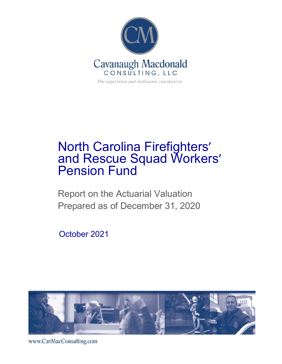

## North Carolina Firefighters' and Rescue Squad Workers' Pension Fund

Report on the Actuarial Valuation Prepared as of December 31, 2020

October 2021



www.CavMacConsulting.com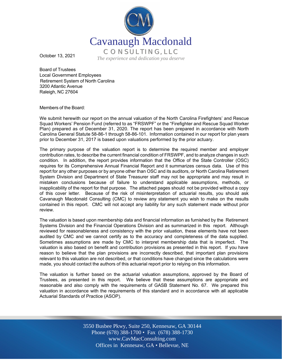

October 13, 2021

Board of Trustees Local Government Employees Retirement System of North Carolina 3200 Atlantic Avenue Raleigh, NC 27604

Members of the Board:

We submit herewith our report on the annual valuation of the North Carolina Firefighters' and Rescue Squad Workers' Pension Fund (referred to as "FRSWPF" or the "Firefighter and Rescue Squad Worker Plan) prepared as of December 31, 2020. The report has been prepared in accordance with North Carolina General Statute 58-86-1 through 58-86-101. Information contained in our report for plan years prior to December 31, 2017 is based upon valuations performed by the prior actuary.

The primary purpose of the valuation report is to determine the required member and employer contribution rates, to describe the current financial condition of FRSWPF, and to analyze changes in such condition. In addition, the report provides information that the Office of the State Controller (OSC) requires for its Comprehensive Annual Financial Report and it summarizes census data. Use of this report for any other purposes or by anyone other than OSC and its auditors, or North Carolina Retirement System Division and Department of State Treasurer staff may not be appropriate and may result in mistaken conclusions because of failure to understand applicable assumptions, methods, or inapplicability of the report for that purpose. The attached pages should not be provided without a copy of this cover letter. Because of the risk of misinterpretation of actuarial results, you should ask Cavanaugh Macdonald Consulting (CMC) to review any statement you wish to make on the results contained in this report. CMC will not accept any liability for any such statement made without prior review.

The valuation is based upon membership data and financial information as furnished by the Retirement Systems Division and the Financial Operations Division and as summarized in this report. Although reviewed for reasonableness and consistency with the prior valuation, these elements have not been audited by CMC and we cannot certify as to the accuracy and completeness of the data supplied. Sometimes assumptions are made by CMC to interpret membership data that is imperfect. The valuation is also based on benefit and contribution provisions as presented in this report. If you have reason to believe that the plan provisions are incorrectly described, that important plan provisions relevant to this valuation are not described, or that conditions have changed since the calculations were made, you should contact the authors of this actuarial report prior to relying on this information.

The valuation is further based on the actuarial valuation assumptions, approved by the Board of Trustees, as presented in this report. We believe that these assumptions are appropriate and reasonable and also comply with the requirements of GASB Statement No. 67. We prepared this valuation in accordance with the requirements of this standard and in accordance with all applicable Actuarial Standards of Practice (ASOP).

> Off Offices in Kennesaw, GA • Bellevue, NE 3550 Busbee Pkwy, Suite 250, Kennesaw, GA 30144 Phone (678) 388-1700 • Fax (678) 388-1730 www.CavMacConsulting.com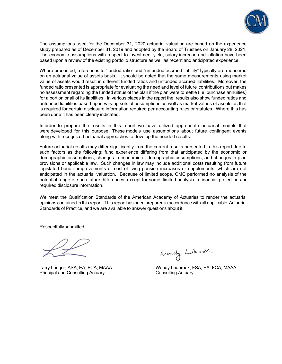

The assumptions used for the December 31, 2020 actuarial valuation are based on the experience study prepared as of December 31, 2019 and adopted by the Board of Trustees on January 28, 2021. The economic assumptions with respect to investment yield, salary increase and inflation have been based upon a review of the existing portfolio structure as well as recent and anticipated experience.

Where presented, references to "funded ratio" and "unfunded accrued liability" typically are measured on an actuarial value of assets basis. It should be noted that the same measurements using market value of assets would result in different funded ratios and unfunded accrued liabilities. Moreover, the funded ratio presented is appropriate for evaluating the need and level of future contributions but makes no assessment regarding the funded status of the plan if the plan were to settle (i.e. purchase annuities) for a portion or all of its liabilities. In various places in the report the results also show funded ratios and unfunded liabilities based upon varying sets of assumptions as well as market values of assets as that is required for certain disclosure information required per accounting rules or statutes. Where this has been done it has been clearly indicated.

In order to prepare the results in this report we have utilized appropriate actuarial models that were developed for this purpose. These models use assumptions about future contingent events along with recognized actuarial approaches to develop the needed results.

Future actuarial results may differ significantly from the current results presented in this report due to such factors as the following: fund experience differing from that anticipated by the economic or demographic assumptions; changes in economic or demographic assumptions; and changes in plan provisions or applicable law. Such changes in law may include additional costs resulting from future legislated benefit improvements or cost-of-living pension increases or supplements, which are not anticipated in the actuarial valuation. Because of limited scope, CMC performed no analysis of the potential range of such future differences, except for some limited analysis in financial projections or required disclosure information.

We meet the Qualification Standards of the American Academy of Actuaries to render the actuarial opinions contained in this report. This report has been prepared in accordance with all applicable Actuarial Standards of Practice, and we are available to answer questions about it.

Respectfully submitted,

Principal and Consulting Actuary **Consulting Actuary** Consulting Actuary

Wendy holhodh

Larry Langer, ASA, EA, FCA, MAAA Wendy Ludbrook, FSA, EA, FCA, MAAA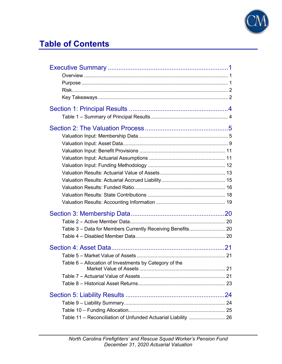

### **Table of Contents**

| Table 3 - Data for Members Currently Receiving Benefits 20 |
|------------------------------------------------------------|
|                                                            |
|                                                            |
|                                                            |
|                                                            |
|                                                            |
|                                                            |
|                                                            |
|                                                            |
|                                                            |
|                                                            |
|                                                            |
|                                                            |
|                                                            |
|                                                            |
|                                                            |
|                                                            |
|                                                            |
|                                                            |
|                                                            |
|                                                            |
|                                                            |
|                                                            |
|                                                            |
| Table 6 – Allocation of Investments by Category of the     |
|                                                            |
|                                                            |
|                                                            |
|                                                            |
|                                                            |
|                                                            |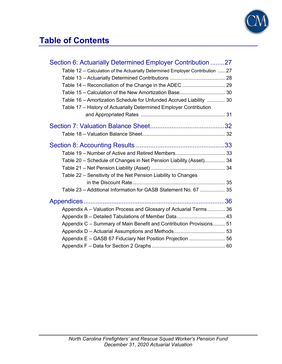

#### **Table of Contents**

| Section 6: Actuarially Determined Employer Contribution 27                    |  |
|-------------------------------------------------------------------------------|--|
| Table 12 - Calculation of the Actuarially Determined Employer Contribution 27 |  |
|                                                                               |  |
| Table 14 - Reconciliation of the Change in the ADEC  29                       |  |
| Table 15 - Calculation of the New Amortization Base 30                        |  |
| Table 16 - Amortization Schedule for Unfunded Accrued Liability  30           |  |
| Table 17 - History of Actuarially Determined Employer Contribution            |  |
|                                                                               |  |
|                                                                               |  |
|                                                                               |  |
|                                                                               |  |
|                                                                               |  |
| Table 20 - Schedule of Changes in Net Pension Liability (Asset) 34            |  |
|                                                                               |  |
| Table 22 – Sensitivity of the Net Pension Liability to Changes                |  |
|                                                                               |  |
| Table 23 - Additional Information for GASB Statement No. 67  35               |  |
|                                                                               |  |
| Appendix A – Valuation Process and Glossary of Actuarial Terms 36             |  |
|                                                                               |  |
| Appendix C - Summary of Main Benefit and Contribution Provisions 51           |  |
|                                                                               |  |
| Appendix E - GASB 67 Fiduciary Net Position Projection  56                    |  |
|                                                                               |  |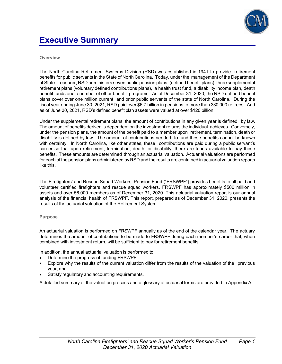

#### **Executive Summary**

#### **Overview**

The North Carolina Retirement Systems Division (RSD) was established in 1941 to provide retirement benefits for public servants in the State of North Carolina. Today, under the management of the Department of State Treasurer, RSD administers seven public pension plans (defined benefit plans), three supplemental retirement plans (voluntary defined contributions plans), a health trust fund, a disability income plan, death benefit funds and a number of other benefit programs. As of December 31, 2020, the RSD defined benefit plans cover over one million current and prior public servants of the state of North Carolina. During the fiscal year ending June 30, 2021, RSD paid over \$6.7 billion in pensions to more than 330,000 retirees. And as of June 30, 2021, RSD's defined benefit plan assets were valued at over \$120 billion.

Under the supplemental retirement plans, the amount of contributions in any given year is defined by law. The amount of benefits derived is dependent on the investment returns the individual achieves. Conversely, under the pension plans, the amount of the benefit paid to a member upon retirement, termination, death or disability is defined by law. The amount of contributions needed to fund these benefits cannot be known with certainty. In North Carolina, like other states, these contributions are paid during a public servant's career so that upon retirement, termination, death, or disability, there are funds available to pay these benefits. These amounts are determined through an actuarial valuation. Actuarial valuations are performed for each of the pension plans administered by RSD and the results are contained in actuarial valuation reports like this.

The Firefighters' and Rescue Squad Workers' Pension Fund ("FRSWPF") provides benefits to all paid and volunteer certified firefighters and rescue squad workers. FRSWPF has approximately \$500 million in assets and over 56,000 members as of December 31, 2020. This actuarial valuation report is our annual analysis of the financial health of FRSWPF. This report, prepared as of December 31, 2020, presents the results of the actuarial valuation of the Retirement System.

#### **Purpose**

An actuarial valuation is performed on FRSWPF annually as of the end of the calendar year. The actuary determines the amount of contributions to be made to FRSWPF during each member's career that, when combined with investment return, will be sufficient to pay for retirement benefits.

In addition, the annual actuarial valuation is performed to:

- Determine the progress of funding FRSWPF,
- Explore why the results of the current valuation differ from the results of the valuation of the previous year, and
- Satisfy regulatory and accounting requirements.

A detailed summary of the valuation process and a glossary of actuarial terms are provided in Appendix A.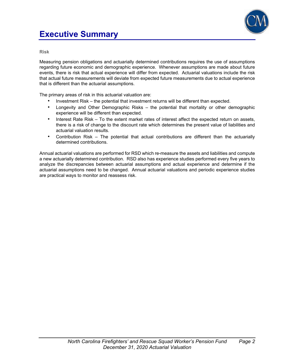

**Risk** 

Measuring pension obligations and actuarially determined contributions requires the use of assumptions regarding future economic and demographic experience. Whenever assumptions are made about future events, there is risk that actual experience will differ from expected. Actuarial valuations include the risk that actual future measurements will deviate from expected future measurements due to actual experience that is different than the actuarial assumptions.

The primary areas of risk in this actuarial valuation are:

- Investment Risk the potential that investment returns will be different than expected.
- Longevity and Other Demographic Risks the potential that mortality or other demographic experience will be different than expected.
- Interest Rate Risk To the extent market rates of interest affect the expected return on assets, there is a risk of change to the discount rate which determines the present value of liabilities and actuarial valuation results.
- Contribution Risk The potential that actual contributions are different than the actuarially determined contributions.

Annual actuarial valuations are performed for RSD which re-measure the assets and liabilities and compute a new actuarially determined contribution. RSD also has experience studies performed every five years to analyze the discrepancies between actuarial assumptions and actual experience and determine if the actuarial assumptions need to be changed. Annual actuarial valuations and periodic experience studies are practical ways to monitor and reassess risk.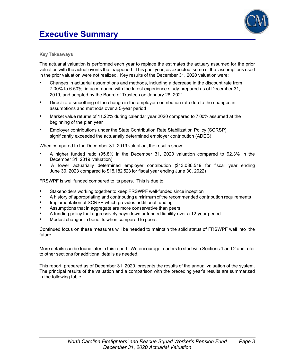



#### **Key Takeaways**

The actuarial valuation is performed each year to replace the estimates the actuary assumed for the prior valuation with the actual events that happened. This past year, as expected, some of the assumptions used in the prior valuation were not realized. Key results of the December 31, 2020 valuation were:

- Changes in actuarial assumptions and methods, including a decrease in the discount rate from 7.00% to 6.50%, in accordance with the latest experience study prepared as of December 31, 2019, and adopted by the Board of Trustees on January 28, 2021
- Direct-rate smoothing of the change in the employer contribution rate due to the changes in assumptions and methods over a 5-year period
- Market value returns of 11.22% during calendar year 2020 compared to 7.00% assumed at the beginning of the plan year
- Employer contributions under the State Contribution Rate Stabilization Policy (SCRSP) significantly exceeded the actuarially determined employer contribution (ADEC)

When compared to the December 31, 2019 valuation, the results show:

- A higher funded ratio (95.8% in the December 31, 2020 valuation compared to 92.3% in the December 31, 2019 valuation)
- A lower actuarially determined employer contribution (\$13,086,519 for fiscal year ending June 30, 2023 compared to \$15,182,523 for fiscal year ending June 30, 2022)

FRSWPF is well funded compared to its peers. This is due to:

- Stakeholders working together to keep FRSWPF well-funded since inception
- A history of appropriating and contributing a minimum of the recommended contribution requirements
- Implementation of SCRSP which provides additional funding
- Assumptions that in aggregate are more conservative than peers
- A funding policy that aggressively pays down unfunded liability over a 12-year period
- Modest changes in benefits when compared to peers

Continued focus on these measures will be needed to maintain the solid status of FRSWPF well into the future.

More details can be found later in this report. We encourage readers to start with Sections 1 and 2 and refer to other sections for additional details as needed.

This report, prepared as of December 31, 2020, presents the results of the annual valuation of the system. The principal results of the valuation and a comparison with the preceding year's results are summarized in the following table.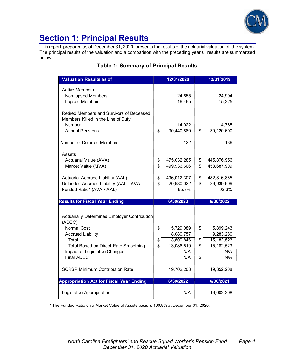

#### **Section 1: Principal Results**

This report, prepared as of December 31, 2020, presents the results of the actuarial valuation of the system. The principal results of the valuation and a comparison with the preceding year's results are summarized below.

#### **Valuation Results as of 12/31/2020 12/31/2019** Active Members Non-lapsed Members 1994 Lapsed Members 15,225 Retired Members and Survivors of Deceased Members Killed in the Line of Duty Number 14,922 14,765 Annual Pensions 1 30,440,880 | \$ 30,120,600 Number of Deferred Members 122 136 Assets Actuarial Value (AVA)  $\parallel$  \$ 475,032,285 | \$ 445,876,956 Market Value (MVA)  $\parallel$  \$ 499,936,606 | \$ 458,687,909 Actuarial Accrued Liability (AAL)  $\begin{array}{|l} \hline \$ & 496,012,307 \end{array}$  \emaths \$ 482,816,865 Unfunded Accrued Liability  $(AAL - AVA)$   $\downarrow$  \$ 20,980,022  $\downarrow$  \$ 36,939,909 Funded Ratio\* (AVA / AAL)  $\qquad$  95.8% 92.3% **Results for Fiscal Year Ending 6/30/2023 6/30/2022** Actuarially Determined Employer Contribution (ADEC) Normal Cost  $\begin{array}{|c|c|c|c|c|c|c|c|c|} \hline \text{S} & \text{5.729.089} & \text{\$} & \text{5.899.243} \hline \end{array}$ Accrued Liability **8,080,757** 9,283,280 Total  $\sqrt{3}$  13,809,846  $\sqrt{4}$  5,182,523 Total Based on Direct Rate Smoothing  $\frac{1}{3}$  13,086,519  $\frac{1}{3}$  15,182,523 Impact of Legislative Changes N/A N/A N/A Final ADEC N/A S N/A SCRSP Minimum Contribution Rate 19,702,208 19,352,208 Appropriation Act for Fiscal Year Ending **6/30/2022 1 6/30/2021**

#### **Table 1: Summary of Principal Results**

\* The Funded Ratio on a Market Value of Assets basis is 100.8% at December 31, 2020.

Legislative Appropriation **N/A** 19,002,208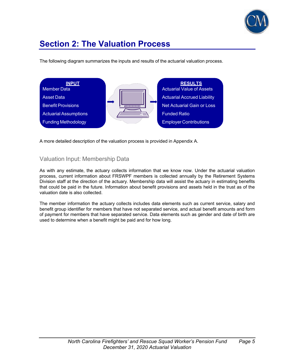

The following diagram summarizes the inputs and results of the actuarial valuation process.



A more detailed description of the valuation process is provided in Appendix A.

#### Valuation Input: Membership Data

As with any estimate, the actuary collects information that we know now. Under the actuarial valuation process, current information about FRSWPF members is collected annually by the Retirement Systems Division staff at the direction of the actuary. Membership data will assist the actuary in estimating benefits that could be paid in the future. Information about benefit provisions and assets held in the trust as of the valuation date is also collected.

The member information the actuary collects includes data elements such as current service, salary and benefit group identifier for members that have not separated service, and actual benefit amounts and form of payment for members that have separated service. Data elements such as gender and date of birth are used to determine when a benefit might be paid and for how long.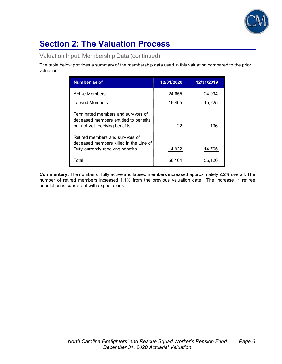

Valuation Input: Membership Data (continued)

The table below provides a summary of the membership data used in this valuation compared to the prior valuation.

| <b>Number as of</b>                                                                                             | 12/31/2020 | 12/31/2019 |
|-----------------------------------------------------------------------------------------------------------------|------------|------------|
| <b>Active Members</b>                                                                                           | 24,655     | 24,994     |
| Lapsed Members                                                                                                  | 16,465     | 15,225     |
| Terminated members and survivors of<br>deceased members entitled to benefits<br>but not yet receiving benefits  | 122        | 136        |
| Retired members and survivors of<br>deceased members killed in the Line of<br>Duty currently receiving benefits | 14,922     | 14,765     |
| Total                                                                                                           | 56,164     | 55,120     |

**Commentary:** The number of fully active and lapsed members increased approximately 2.2% overall. The number of retired members increased 1.1% from the previous valuation date. The increase in retiree population is consistent with expectations.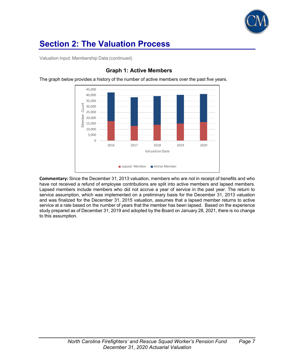

Valuation Input: Membership Data (continued)



#### **Graph 1: Active Members**

The graph below provides a history of the number of active members over the past five years.

**Commentary:** Since the December 31, 2013 valuation, members who are not in receipt of benefits and who have not received a refund of employee contributions are split into active members and lapsed members. Lapsed members include members who did not accrue a year of service in the past year. The return to service assumption, which was implemented on a preliminary basis for the December 31, 2013 valuation and was finalized for the December 31, 2015 valuation, assumes that a lapsed member returns to active service at a rate based on the number of years that the member has been lapsed. Based on the experience study prepared as of December 31, 2019 and adopted by the Board on January 28, 2021, there is no change to this assumption.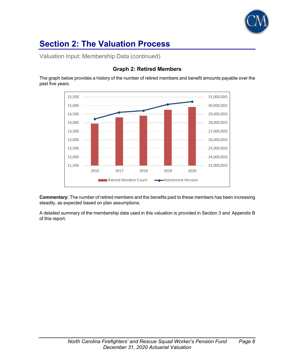

Valuation Input: Membership Data (continued)



#### **Graph 2: Retired Members**

The graph below provides a history of the number of retired members and benefit amounts payable over the past five years.

**Commentary:** The number of retired members and the benefits paid to these members has been increasing steadily, as expected based on plan assumptions.

A detailed summary of the membership data used in this valuation is provided in Section 3 and Appendix B of this report.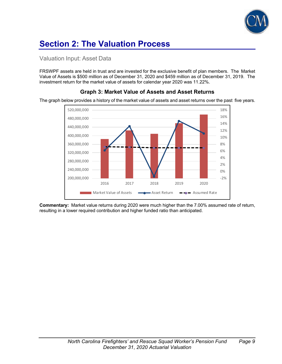

#### Valuation Input: Asset Data

FRSWPF assets are held in trust and are invested for the exclusive benefit of plan members. The Market Value of Assets is \$500 million as of December 31, 2020 and \$459 million as of December 31, 2019. The investment return for the market value of assets for calendar year 2020 was 11.22%.



#### **Graph 3: Market Value of Assets and Asset Returns**

The graph below provides a history of the market value of assets and asset returns over the past five years.

**Commentary:** Market value returns during 2020 were much higher than the 7.00% assumed rate of return, resulting in a lower required contribution and higher funded ratio than anticipated.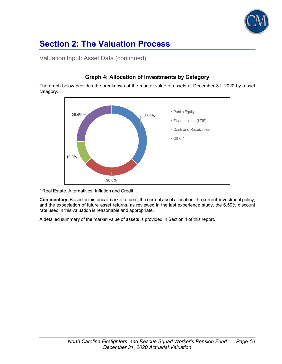

Valuation Input: Asset Data (continued)

## **36.9% 26.8% 10.9% 25.4%** - **26.4%** Public Equity Fixed Income (LTIF) Cash and Receivables Other\*

#### **Graph 4: Allocation of Investments by Category**

The graph below provides the breakdown of the market value of assets at December 31, 2020 by asset category.

\* Real Estate, Alternatives, Inflation and Credit

**Commentary:** Based on historical market returns, the current asset allocation, the current investment policy, and the expectation of future asset returns, as reviewed in the last experience study, the 6.50% discount rate used in this valuation is reasonable and appropriate.

A detailed summary of the market value of assets is provided in Section 4 of this report.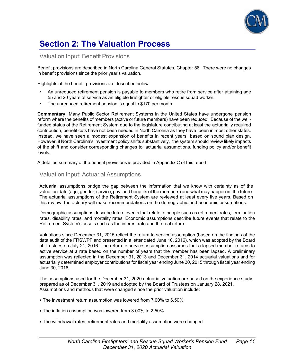

#### Valuation Input: Benefit Provisions

Benefit provisions are described in North Carolina General Statutes, Chapter 58. There were no changes in benefit provisions since the prior year's valuation.

Highlights of the benefit provisions are described below.

- An unreduced retirement pension is payable to members who retire from service after attaining age 55 and 20 years of service as an eligible firefighter or eligible rescue squad worker.
- The unreduced retirement pension is equal to \$170 per month.

**Commentary:** Many Public Sector Retirement Systems in the United States have undergone pension reform where the benefits of members (active or future members) have been reduced. Because of the wellfunded status of the Retirement System due to the legislature contributing at least the actuarially required contribution, benefit cuts have not been needed in North Carolina as they have been in most other states. Instead, we have seen a modest expansion of benefits in recent years based on sound plan design. However, if North Carolina's investment policy shifts substantively, the system should review likely impacts of the shift and consider corresponding changes to actuarial assumptions, funding policy and/or benefit levels.

A detailed summary of the benefit provisions is provided in Appendix C of this report.

#### Valuation Input: Actuarial Assumptions

Actuarial assumptions bridge the gap between the information that we know with certainty as of the valuation date (age, gender, service, pay, and benefits of the members) and what may happen in the future. The actuarial assumptions of the Retirement System are reviewed at least every five years. Based on this review, the actuary will make recommendations on the demographic and economic assumptions.

Demographic assumptions describe future events that relate to people such as retirement rates, termination rates, disability rates, and mortality rates. Economic assumptions describe future events that relate to the Retirement System's assets such as the interest rate and the real return.

Valuations since December 31, 2015 reflect the return to service assumption (based on the findings of the data audit of the FRSWPF and presented in a letter dated June 10, 2016), which was adopted by the Board of Trustees on July 21, 2016. The return to service assumption assumes that a lapsed member returns to active service at a rate based on the number of years that the member has been lapsed. A preliminary assumption was reflected in the December 31, 2013 and December 31, 2014 actuarial valuations and for actuarially determined employer contributions for fiscal year ending June 30, 2015 through fiscal year ending June 30, 2016.

The assumptions used for the December 31, 2020 actuarial valuation are based on the experience study prepared as of December 31, 2019 and adopted by the Board of Trustees on January 28, 2021. Assumptions and methods that were changed since the prior valuation include:

- The investment return assumption was lowered from 7.00% to 6.50%
- The inflation assumption was lowered from 3.00% to 2.50%
- The withdrawal rates, retirement rates and mortality assumption were changed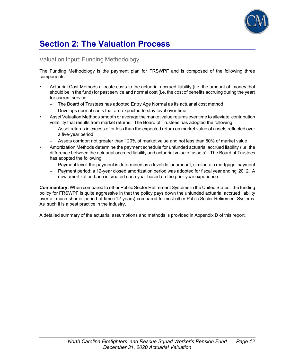

#### Valuation Input: Funding Methodology

The Funding Methodology is the payment plan for FRSWPF and is composed of the following three components:

- Actuarial Cost Methods allocate costs to the actuarial accrued liability (i.e. the amount of money that should be in the fund) for past service and normal cost (i.e. the cost of benefits accruing during the year) for current service.
	- The Board of Trustees has adopted Entry Age Normal as its actuarial cost method
	- Develops normal costs that are expected to stay level over time
- Asset Valuation Methods smooth or average the market value returns over time to alleviate contribution volatility that results from market returns. The Board of Trustees has adopted the following:
	- Asset returns in excess of or less than the expected return on market value of assets reflected over a five-year period
	- Assets corridor: not greater than 120% of market value and not less than 80% of market value
- Amortization Methods determine the payment schedule for unfunded actuarial accrued liability (i.e. the difference between the actuarial accrued liability and actuarial value of assets). The Board of Trustees has adopted the following:
	- Payment level: the payment is determined as a level dollar amount, similar to a mortgage payment
	- Payment period: a 12-year closed amortization period was adopted for fiscal year ending 2012. A new amortization base is created each year based on the prior year experience.

**Commentary:** When compared to other Public Sector Retirement Systems in the United States, the funding policy for FRSWPF is quite aggressive in that the policy pays down the unfunded actuarial accrued liability over a much shorter period of time (12 years) compared to most other Public Sector Retirement Systems. As such it is a best practice in the industry.

A detailed summary of the actuarial assumptions and methods is provided in Appendix D of this report.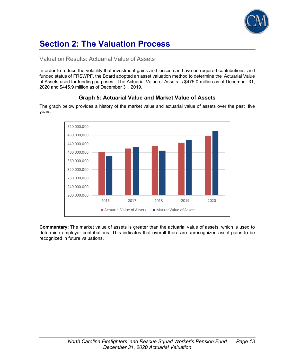

#### Valuation Results: Actuarial Value of Assets

In order to reduce the volatility that investment gains and losses can have on required contributions and funded status of FRSWPF, the Board adopted an asset valuation method to determine the Actuarial Value of Assets used for funding purposes. The Actuarial Value of Assets is \$475.0 million as of December 31, 2020 and \$445.9 million as of December 31, 2019.

#### 200,000,000 240,000,000 280,000,000 320,000,000 360,000,000 400,000,000 440,000,000 480,000,000 520,000,000 2016 2017 2018 2019 2020 ■ Actuarial Value of Assets ■ Market Value of Assets

#### **Graph 5: Actuarial Value and Market Value of Assets**

The graph below provides a history of the market value and actuarial value of assets over the past five years.

**Commentary:** The market value of assets is greater than the actuarial value of assets, which is used to determine employer contributions. This indicates that overall there are unrecognized asset gains to be recognized in future valuations.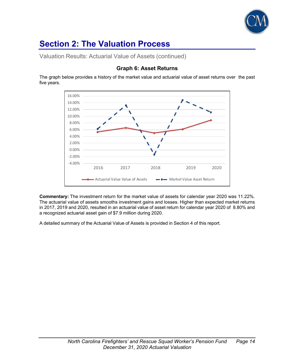

Valuation Results: Actuarial Value of Assets (continued)

#### **Graph 6: Asset Returns**

The graph below provides a history of the market value and actuarial value of asset returns over the past five years.



**Commentary:** The investment return for the market value of assets for calendar year 2020 was 11.22%. The actuarial value of assets smooths investment gains and losses. Higher than expected market returns in 2017, 2019 and 2020, resulted in an actuarial value of asset return for calendar year 2020 of 8.80% and a recognized actuarial asset gain of \$7.9 million during 2020.

A detailed summary of the Actuarial Value of Assets is provided in Section 4 of this report.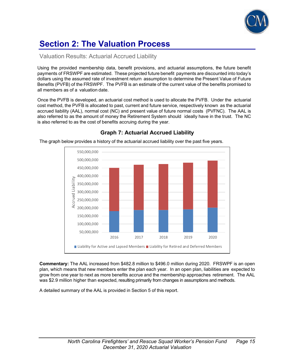

#### Valuation Results: Actuarial Accrued Liability

Using the provided membership data, benefit provisions, and actuarial assumptions, the future benefit payments of FRSWPF are estimated. These projected future benefit payments are discounted into today's dollars using the assumed rate of investment return assumption to determine the Present Value of Future Benefits (PVFB) of the FRSWPF. The PVFB is an estimate of the current value of the benefits promised to all members as of a valuation date.

Once the PVFB is developed, an actuarial cost method is used to allocate the PVFB. Under the actuarial cost method, the PVFB is allocated to past, current and future service, respectively known as the actuarial accrued liability (AAL), normal cost (NC) and present value of future normal costs (PVFNC). The AAL is also referred to as the amount of money the Retirement System should ideally have in the trust. The NC is also referred to as the cost of benefits accruing during the year.



#### **Graph 7: Actuarial Accrued Liability**

The graph below provides a history of the actuarial accrued liability over the past five years.

**Commentary:** The AAL increased from \$482.8 million to \$496.0 million during 2020. FRSWPF is an open plan, which means that new members enter the plan each year. In an open plan, liabilities are expected to grow from one year to next as more benefits accrue and the membership approaches retirement. The AAL was \$2.9 million higher than expected, resulting primarily from changes in assumptions and methods.

A detailed summary of the AAL is provided in Section 5 of this report.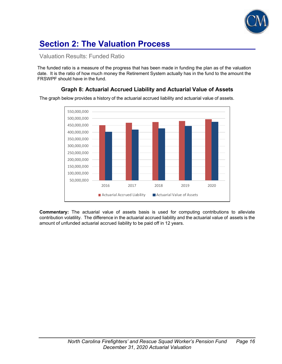

#### Valuation Results: Funded Ratio

The funded ratio is a measure of the progress that has been made in funding the plan as of the valuation date. It is the ratio of how much money the Retirement System actually has in the fund to the amount the FRSWPF should have in the fund.

#### 50,000,000 100,000,000 150,000,000 200,000,000 250,000,000 300,000,000 350,000,000 400,000,000 450,000,000 500,000,000 550,000,000 2016 2017 2018 2019 2020 ■ Actuarial Accrued Liability ■ Actuarial Value of Assets

**Graph 8: Actuarial Accrued Liability and Actuarial Value of Assets**

The graph below provides a history of the actuarial accrued liability and actuarial value of assets.

**Commentary:** The actuarial value of assets basis is used for computing contributions to alleviate contribution volatility. The difference in the actuarial accrued liability and the actuarial value of assets is the amount of unfunded actuarial accrued liability to be paid off in 12 years.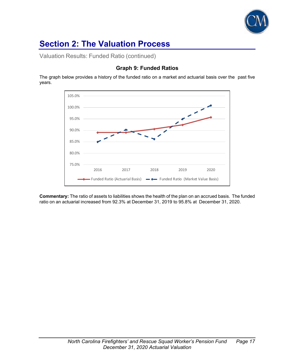

Valuation Results: Funded Ratio (continued)

#### **Graph 9: Funded Ratios**

The graph below provides a history of the funded ratio on a market and actuarial basis over the past five years.



**Commentary:** The ratio of assets to liabilities shows the health of the plan on an accrued basis. The funded ratio on an actuarial increased from 92.3% at December 31, 2019 to 95.8% at December 31, 2020.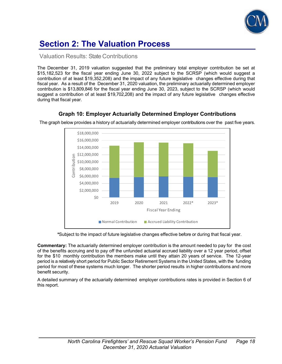

#### Valuation Results: State Contributions

The December 31, 2019 valuation suggested that the preliminary total employer contribution be set at \$15,182,523 for the fiscal year ending June 30, 2022 subject to the SCRSP (which would suggest a contribution of at least \$19,352,208) and the impact of any future legislative changes effective during that fiscal year. As a result of the December 31, 2020 valuation, the preliminary actuarially determined employer contribution is \$13,809,846 for the fiscal year ending June 30, 2023, subject to the SCRSP (which would suggest a contribution of at least \$19,702,208) and the impact of any future legislative changes effective during that fiscal year.



**Graph 10: Employer Actuarially Determined Employer Contributions**

The graph below provides a history of actuarially determined employer contributions over the past five years.

 **\***Subject to the impact of future legislative changes effective before or during that fiscal year.

**Commentary:** The actuarially determined employer contribution is the amount needed to pay for the cost of the benefits accruing and to pay off the unfunded actuarial accrued liability over a 12 year period, offset for the \$10 monthly contribution the members make until they attain 20 years of service. The 12-year period is a relatively short period for Public Sector Retirement Systems in the United States, with the funding period for most of these systems much longer. The shorter period results in higher contributions and more benefit security.

A detailed summary of the actuarially determined employer contributions rates is provided in Section 6 of this report.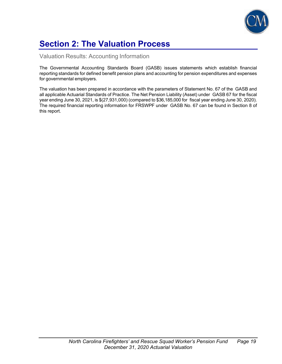

# **Section 2: The Valuation Process**

Valuation Results: Accounting Information

The Governmental Accounting Standards Board (GASB) issues statements which establish financial reporting standards for defined benefit pension plans and accounting for pension expenditures and expenses for governmental employers.

The valuation has been prepared in accordance with the parameters of Statement No. 67 of the GASB and all applicable Actuarial Standards of Practice. The Net Pension Liability (Asset) under GASB 67 for the fiscal year ending June 30, 2021, is \$(27,931,000) (compared to \$36,185,000 for fiscal year ending June 30, 2020). The required financial reporting information for FRSWPF under GASB No. 67 can be found in Section 8 of this report.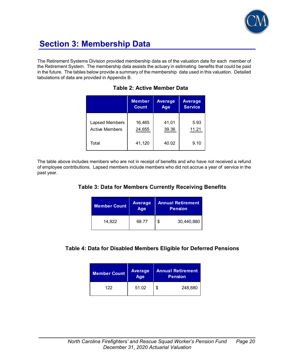

# **Section 3: Membership Data**

The Retirement Systems Division provided membership data as of the valuation date for each member of the Retirement System. The membership data assists the actuary in estimating benefits that could be paid in the future. The tables below provide a summary of the membership data used in this valuation. Detailed tabulations of data are provided in Appendix B.

|                       | <b>Member</b> | <b>Average</b> | <b>Average</b> |
|-----------------------|---------------|----------------|----------------|
|                       | <b>Count</b>  | Age            | <b>Service</b> |
| Lapsed Members        | 16,465        | 41.01          | 5.93           |
| <b>Active Members</b> | 24,655        | 39.36          | 11.21          |
| Total                 | 41,120        | 40.02          | 9.10           |

### **Table 2: Active Member Data**

The table above includes members who are not in receipt of benefits and who have not received a refund of employee contributions. Lapsed members include members who did not accrue a year of service in the past year.

### **Table 3: Data for Members Currently Receiving Benefits**

| <b>Member Count</b> | <b>Average</b><br>Age | <b>Annual Retirement</b><br><b>Pension</b> |
|---------------------|-----------------------|--------------------------------------------|
| 14,922              | 68.77                 | 30,440,880<br>S                            |

### **Table 4: Data for Disabled Members Eligible for Deferred Pensions**

| <b>Member Count</b> | Average<br>Age | <b>Annual Retirement</b><br><b>Pension</b> |  |  |  |  |
|---------------------|----------------|--------------------------------------------|--|--|--|--|
| 122                 | 51.02          | 248,880                                    |  |  |  |  |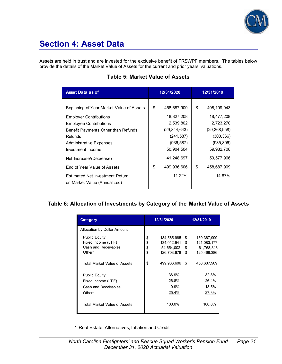

## **Section 4: Asset Data**

Assets are held in trust and are invested for the exclusive benefit of FRSWPF members. The tables below provide the details of the Market Value of Assets for the current and prior years' valuations.

| <b>Asset Data as of</b>                                                | 12/31/2020     |             | 12/31/2019          |
|------------------------------------------------------------------------|----------------|-------------|---------------------|
|                                                                        | \$             | 458,687,909 | \$<br>408, 109, 943 |
| Beginning of Year Market Value of Assets                               |                |             |                     |
| <b>Employer Contributions</b>                                          |                | 18,827,208  | 18,477,208          |
| <b>Employee Contributions</b>                                          |                | 2,539,802   | 2,723,270           |
| Benefit Payments Other than Refunds                                    | (29, 844, 643) |             | (29, 368, 958)      |
| Refunds                                                                |                | (241, 587)  | (300, 366)          |
| <b>Administrative Expenses</b>                                         |                | (936, 587)  | (935,896)           |
| Investment Income                                                      |                | 50,904,504  | 59,982,708          |
| Net Increase/(Decrease)                                                |                | 41,248,697  | 50,577,966          |
| End of Year Value of Assets                                            | \$             | 499,936,606 | \$<br>458,687,909   |
| <b>Estimated Net Investment Return</b><br>on Market Value (Annualized) |                | 11.22%      | 14.87%              |

### **Table 5: Market Value of Assets**

### **Table 6: Allocation of Investments by Category of the Market Value of Assets**

| Category                                                                      | 12/31/2020           |                                                         |                      | 12/31/2019                                              |  |  |
|-------------------------------------------------------------------------------|----------------------|---------------------------------------------------------|----------------------|---------------------------------------------------------|--|--|
| <b>Allocation by Dollar Amount</b>                                            |                      |                                                         |                      |                                                         |  |  |
| <b>Public Equity</b><br>Fixed Income (LTIF)<br>Cash and Receivables<br>Other* | \$<br>\$<br>\$<br>\$ | 184,565,985<br>134,012,941<br>54,654,002<br>126,703,678 | \$<br>\$<br>\$<br>\$ | 150,367,999<br>121,083,177<br>61,768,348<br>125,468,386 |  |  |
| Total Market Value of Assets                                                  | \$                   | 499,936,606                                             | \$                   | 458,687,909                                             |  |  |
| <b>Public Equity</b><br>Fixed Income (LTIF)<br>Cash and Receivables<br>Other* |                      | 36.9%<br>26.8%<br>10.9%<br>25.4%                        |                      | 32.8%<br>26.4%<br>13.5%<br>27.3%                        |  |  |
| Total Market Value of Assets                                                  |                      | 100.0%                                                  |                      | 100.0%                                                  |  |  |

**\*** Real Estate, Alternatives, Inflation and Credit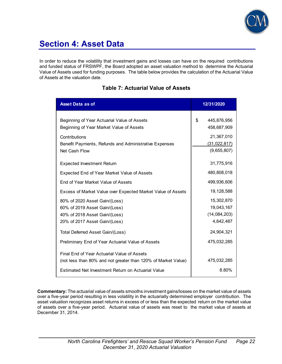

## **Section 4: Asset Data**

In order to reduce the volatility that investment gains and losses can have on the required contributions and funded status of FRSWPF, the Board adopted an asset valuation method to determine the Actuarial Value of Assets used for funding purposes. The table below provides the calculation of the Actuarial Value of Assets at the valuation date.

| <b>Asset Data as of</b>                                                                                                                                                                         | 12/31/2020                                                                      |
|-------------------------------------------------------------------------------------------------------------------------------------------------------------------------------------------------|---------------------------------------------------------------------------------|
| Beginning of Year Actuarial Value of Assets<br>Beginning of Year Market Value of Assets<br>Contributions<br>Benefit Payments, Refunds and Administrative Expenses<br>Net Cash Flow              | \$<br>445,876,956<br>458,687,909<br>21,367,010<br>(31, 022, 817)<br>(9,655,807) |
| <b>Expected Investment Return</b>                                                                                                                                                               | 31,775,916                                                                      |
| Expected End of Year Market Value of Assets<br>End of Year Market Value of Assets                                                                                                               | 480,808,018<br>499,936,606<br>19,128,588                                        |
| Excess of Market Value over Expected Market Value of Assets<br>80% of 2020 Asset Gain/(Loss)<br>60% of 2019 Asset Gain/(Loss)<br>40% of 2018 Asset Gain/(Loss)<br>20% of 2017 Asset Gain/(Loss) | 15,302,870<br>19,043,167<br>(14,084,203)<br>4,642,487                           |
| Total Deferred Asset Gain/(Loss)<br>Preliminary End of Year Actuarial Value of Assets                                                                                                           | 24,904,321<br>475,032,285                                                       |
| Final End of Year Actuarial Value of Assets<br>(not less than 80% and not greater than 120% of Market Value)<br>Estimated Net Investment Return on Actuarial Value                              | 475,032,285<br>8.80%                                                            |

### **Table 7: Actuarial Value of Assets**

**Commentary:** The actuarial value of assets smooths investment gains/losses on the market value of assets over a five-year period resulting in less volatility in the actuarially determined employer contribution. The asset valuation recognizes asset returns in excess of or less than the expected return on the market value of assets over a five-year period. Actuarial value of assets was reset to the market value of assets at December 31, 2014.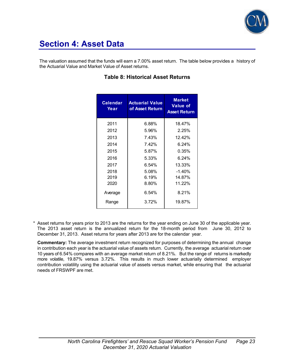

## **Section 4: Asset Data**

The valuation assumed that the funds will earn a 7.00% asset return. The table below provides a history of the Actuarial Value and Market Value of Asset returns.

| <b>Calendar</b><br>Year | <b>Actuarial Value</b><br>of Asset Return | <b>Market</b><br><b>Value of</b><br><b>Asset Return</b> |
|-------------------------|-------------------------------------------|---------------------------------------------------------|
| 2011                    | 6.88%                                     | 18.47%                                                  |
| 2012                    | 5.96%                                     | 2.25%                                                   |
| 2013                    | 7.43%                                     | 12.42%                                                  |
| 2014                    | 7.42%                                     | $6.24\%$                                                |
| 2015                    | 5.87%                                     | 0.35%                                                   |
| 2016                    | 5.33%                                     | 6.24%                                                   |
| 2017                    | 6.54%                                     | 13.33%                                                  |
| 2018                    | 5.08%                                     | $-1.40%$                                                |
| 2019                    | 6.19%                                     | 14.87%                                                  |
| 2020                    | 8.80%                                     | 11.22%                                                  |
| Average                 | 6.54%                                     | 8.21%                                                   |
| Range                   | 3.72%                                     | 19.87%                                                  |

### **Table 8: Historical Asset Returns**

\* Asset returns for years prior to 2013 are the returns for the year ending on June 30 of the applicable year. The 2013 asset return is the annualized return for the 18-month period from June 30, 2012 to December 31, 2013. Asset returns for years after 2013 are for the calendar year.

**Commentary:** The average investment return recognized for purposes of determining the annual change in contribution each year is the actuarial value of assets return. Currently, the average actuarial return over 10 years of 6.54% compares with an average market return of 8.21%. But the range of returns is markedly more volatile, 19.87% versus 3.72%. This results in much lower actuarially determined employer contribution volatility using the actuarial value of assets versus market, while ensuring that the actuarial needs of FRSWPF are met.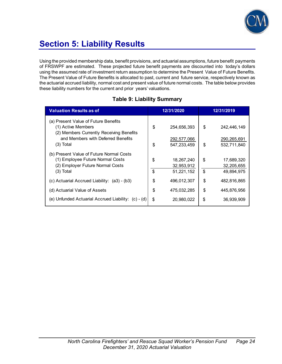

# **Section 5: Liability Results**

Using the provided membership data, benefit provisions, and actuarial assumptions, future benefit payments of FRSWPF are estimated. These projected future benefit payments are discounted into today's dollars using the assumed rate of investment return assumption to determine the Present Value of Future Benefits. The Present Value of Future Benefits is allocated to past, current and future service, respectively known as the actuarial accrued liability, normal cost and present value of future normal costs. The table below provides these liability numbers for the current and prior years' valuations.

### **Table 9: Liability Summary**

| <b>Valuation Results as of</b>                                                 | 12/31/2020 |                            | 12/31/2019                       |
|--------------------------------------------------------------------------------|------------|----------------------------|----------------------------------|
| (a) Present Value of Future Benefits                                           |            |                            |                                  |
| (1) Active Members                                                             | \$         | 254,656,393                | \$<br>242,446,149                |
| (2) Members Currently Receiving Benefits<br>and Members with Deferred Benefits |            |                            |                                  |
| $(3)$ Total                                                                    | \$         | 292,577,066<br>547,233,459 | \$<br>290,265,691<br>532,711,840 |
|                                                                                |            |                            |                                  |
| (b) Present Value of Future Normal Costs<br>(1) Employee Future Normal Costs   | \$         | 18,267,240                 | \$<br>17,689,320                 |
| (2) Employer Future Normal Costs                                               |            | 32,953,912                 | 32,205,655                       |
| $(3)$ Total                                                                    | \$         | 51,221,152                 | \$<br>49.894.975                 |
| (c) Actuarial Accrued Liability: (a3) - (b3)                                   | \$         | 496,012,307                | \$<br>482,816,865                |
| (d) Actuarial Value of Assets                                                  | \$         | 475,032,285                | \$<br>445,876,956                |
| (e) Unfunded Actuarial Accrued Liability: (c) - (d)                            | \$         | 20,980,022                 | \$<br>36,939,909                 |
|                                                                                |            |                            |                                  |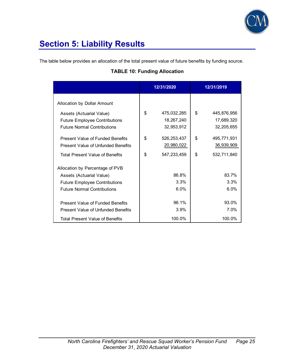

# **Section 5: Liability Results**

The table below provides an allocation of the total present value of future benefits by funding source.

### **TABLE 10: Funding Allocation**

|                                                                                                                         | 12/31/2020 |                                            |          | 12/31/2019                               |
|-------------------------------------------------------------------------------------------------------------------------|------------|--------------------------------------------|----------|------------------------------------------|
| Allocation by Dollar Amount                                                                                             |            |                                            |          |                                          |
| Assets (Actuarial Value)<br><b>Future Employee Contributions</b><br><b>Future Normal Contributions</b>                  | \$         | 475,032,285<br>18,267,240<br>32,953,912    | \$       | 445,876,956<br>17,689,320<br>32,205,655  |
| Present Value of Funded Benefits<br>Present Value of Unfunded Benefits<br><b>Total Present Value of Benefits</b>        | \$<br>\$   | 526, 253, 437<br>20,980,022<br>547,233,459 | \$<br>\$ | 495,771,931<br>36,939,909<br>532,711,840 |
| Allocation by Percentage of PVB<br>Assets (Actuarial Value)                                                             |            | 86.8%                                      |          | 83.7%                                    |
| <b>Future Employee Contributions</b><br><b>Future Normal Contributions</b>                                              |            | 3.3%<br>6.0%                               |          | 3.3%<br>6.0%                             |
| Present Value of Funded Benefits<br><b>Present Value of Unfunded Benefits</b><br><b>Total Present Value of Benefits</b> |            | 96.1%<br>3.9%<br>100.0%                    |          | 93.0%<br>7.0%<br>100.0%                  |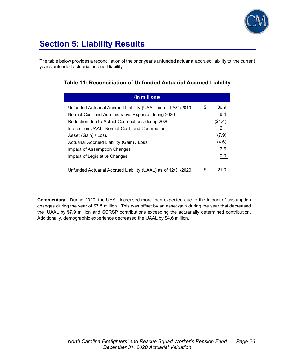

# **Section 5: Liability Results**

.

The table below provides a reconciliation of the prior year's unfunded actuarial accrued liability to the current year's unfunded actuarial accrued liability.

| (in millions)                                                |    |        |
|--------------------------------------------------------------|----|--------|
| Unfunded Actuarial Accrued Liability (UAAL) as of 12/31/2019 | \$ | 36.9   |
| Normal Cost and Administrative Expense during 2020           |    | 8.4    |
| Reduction due to Actual Contributions during 2020            |    | (21.4) |
| Interest on UAAL, Normal Cost, and Contributions             |    | 2.1    |
| Asset (Gain) / Loss                                          |    | (7.9)  |
| Actuarial Accrued Liability (Gain) / Loss                    |    | (4.6)  |
| Impact of Assumption Changes                                 |    | 7.5    |
| Impact of Legislative Changes                                |    | 0.0    |
| Unfunded Actuarial Accrued Liability (UAAL) as of 12/31/2020 | S  | 21 N   |

**Commentary:** During 2020, the UAAL increased more than expected due to the impact of assumption changes during the year of \$7.5 million. This was offset by an asset gain during the year that decreased the UAAL by \$7.9 million and SCRSP contributions exceeding the actuarially determined contribution. Additionally, demographic experience decreased the UAAL by \$4.6 million.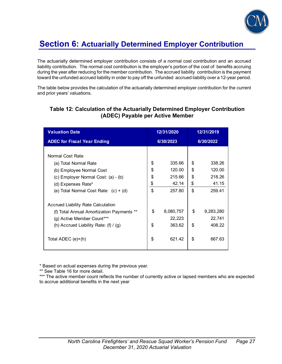

The actuarially determined employer contribution consists of a normal cost contribution and an accrued liability contribution. The normal cost contribution is the employer's portion of the cost of benefits accruing during the year after reducing for the member contribution. The accrued liability contribution is the payment toward the unfunded accrued liability in order to pay off the unfunded accrued liability over a 12-year period.

The table below provides the calculation of the actuarially determined employer contribution for the current and prior years' valuations.

| <b>Valuation Date</b>                                                                                                                                                         | 12/31/2020                 |                                               |                            | 12/31/2019                                    |
|-------------------------------------------------------------------------------------------------------------------------------------------------------------------------------|----------------------------|-----------------------------------------------|----------------------------|-----------------------------------------------|
| <b>ADEC for Fiscal Year Ending</b>                                                                                                                                            | 6/30/2023                  |                                               |                            | 6/30/2022                                     |
| Normal Cost Rate<br>(a) Total Normal Rate<br>(b) Employee Normal Cost<br>(c) Employer Normal Cost: (a) - (b)<br>(d) Expenses Rate*<br>(e) Total Normal Cost Rate: $(c) + (d)$ | \$<br>\$<br>\$<br>\$<br>\$ | 335.66<br>120.00<br>215.66<br>42.14<br>257.80 | \$<br>\$<br>\$<br>\$<br>\$ | 338.26<br>120.00<br>218.26<br>41.15<br>259.41 |
| Accrued Liability Rate Calculation<br>(f) Total Annual Amortization Payments **<br>(g) Active Member Count***<br>(h) Accrued Liability Rate: $(f) / (g)$                      | \$<br>\$                   | 8,080,757<br>22,223<br>363.62                 | \$<br>\$                   | 9,283,280<br>22,741<br>408.22                 |
| Total ADEC (e)+(h)                                                                                                                                                            | \$                         | 621.42                                        | \$                         | 667.63                                        |

### **Table 12: Calculation of the Actuarially Determined Employer Contribution (ADEC) Payable per Active Member**

\* Based on actual expenses during the previous year.

\*\* See Table 16 for more detail.

\*\*\* The active member count reflects the number of currently active or lapsed members who are expected to accrue additional benefits in the next year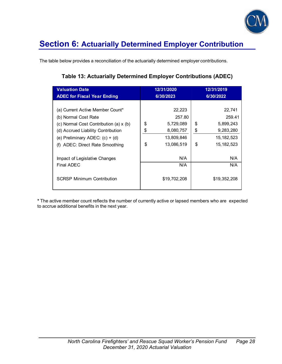

The table below provides a reconciliation of the actuarially determined employer contributions.

### **Table 13: Actuarially Determined Employer Contributions (ADEC)**

| <b>Valuation Date</b><br><b>ADEC for Fiscal Year Ending</b>                                                   |          | 12/31/2020<br>6/30/2023               |          | 12/31/2019<br>6/30/2022                   |
|---------------------------------------------------------------------------------------------------------------|----------|---------------------------------------|----------|-------------------------------------------|
| (a) Current Active Member Count*<br>(b) Normal Cost Rate<br>(c) Normal Cost Contribution (a) x (b)            | \$       | 22,223<br>257.80<br>5,729,089         | \$       | 22,741<br>259.41<br>5,899,243             |
| (d) Accrued Liability Contribution<br>(e) Preliminary ADEC: $(c) + (d)$<br>ADEC: Direct Rate Smoothing<br>(f) | \$<br>\$ | 8,080,757<br>13,809,846<br>13,086,519 | \$<br>\$ | 9,283,280<br>15, 182, 523<br>15, 182, 523 |
| Impact of Legislative Changes<br>Final ADEC                                                                   |          | N/A<br>N/A                            |          | N/A<br>N/A                                |
| <b>SCRSP Minimum Contribution</b>                                                                             |          | \$19,702,208                          |          | \$19,352,208                              |

**\*** The active member count reflects the number of currently active or lapsed members who are expected to accrue additional benefits in the next year.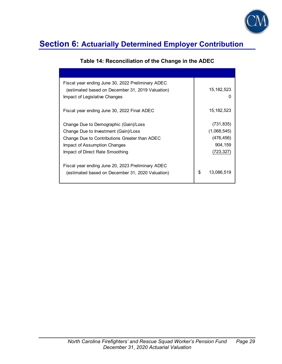

| Fiscal year ending June 30, 2022 Preliminary ADEC<br>(estimated based on December 31, 2019 Valuation)<br>Impact of Legislative Changes                                                            | 15, 182, 523<br>$\mathbf{I}$                                    |
|---------------------------------------------------------------------------------------------------------------------------------------------------------------------------------------------------|-----------------------------------------------------------------|
| Fiscal year ending June 30, 2022 Final ADEC                                                                                                                                                       | 15, 182, 523                                                    |
| Change Due to Demographic (Gain)/Loss<br>Change Due to Investment (Gain)/Loss<br>Change Due to Contributions Greater than ADEC<br>Impact of Assumption Changes<br>Impact of Direct Rate Smoothing | (731, 835)<br>(1,068,545)<br>(476, 456)<br>904,159<br>(723,327) |
| Fiscal year ending June 20, 2023 Preliminary ADEC<br>(estimated based on December 31, 2020 Valuation)                                                                                             | \$<br>13,086,519                                                |

### **Table 14: Reconciliation of the Change in the ADEC**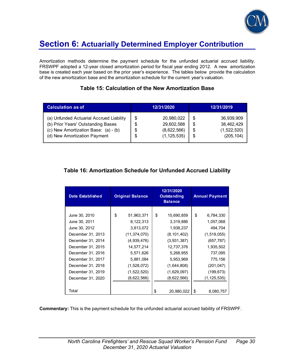

Amortization methods determine the payment schedule for the unfunded actuarial accrued liability. FRSWPF adopted a 12-year closed amortization period for fiscal year ending 2012. A new amortization base is created each year based on the prior year's experience. The tables below provide the calculation of the new amortization base and the amortization schedule for the current year's valuation.

### **Table 15: Calculation of the New Amortization Base**

| <b>Calculation as of</b>                                                                                                                               | 12/31/2020    |                                                          |                     | 12/31/2019                                            |
|--------------------------------------------------------------------------------------------------------------------------------------------------------|---------------|----------------------------------------------------------|---------------------|-------------------------------------------------------|
| (a) Unfunded Actuarial Accrued Liability<br>(b) Prior Years' Outstanding Bases<br>(c) New Amortization Base: (a) - (b)<br>(d) New Amortization Payment | \$<br>S<br>\$ | 20,980,022<br>29,602,588<br>(8,622,566)<br>(1, 125, 535) | \$<br>\$<br>S<br>\$ | 36,939,909<br>38,462,429<br>(1,522,520)<br>(205, 104) |

### **Table 16: Amortization Schedule for Unfunded Accrued Liability**

| <b>Date Established</b> | <b>Original Balance</b> | 12/31/2020<br>Outstanding<br><b>Balance</b> | <b>Annual Payment</b> |
|-------------------------|-------------------------|---------------------------------------------|-----------------------|
|                         |                         |                                             |                       |
| June 30, 2010           | \$<br>51,963,371        | \$<br>15,690,859                            | \$<br>6,784,330       |
| June 30, 2011           | 8,122,313               | 3,319,886                                   | 1,057,068             |
| June 30, 2012           | 3,813,072               | 1,938,237                                   | 494,704               |
| December 31, 2013       | (11, 374, 070)          | (8, 101, 402)                               | (1,519,055)           |
| December 31, 2014       | (4,939,476)             | (3,931,387)                                 | (657, 787)            |
| December 31, 2015       | 14,577,214              | 12,737,376                                  | 1,935,502             |
| December 31, 2016       | 5,571,626               | 5,268,955                                   | 737,095               |
| December 31, 2017       | 5,881,084               | 5,953,969                                   | 775,156               |
| December 31, 2018       | (1,528,072)             | (1,644,808)                                 | (201, 047)            |
| December 31, 2019       | (1,522,520)             | (1,629,097)                                 | (199, 673)            |
| December 31, 2020       | (8,622,566)             | (8,622,566)                                 | (1,125,535)           |
|                         |                         |                                             |                       |
| Total                   |                         | 20,980,022<br>\$                            | \$<br>8,080,757       |

**Commentary:** This is the payment schedule for the unfunded actuarial accrued liability of FRSWPF.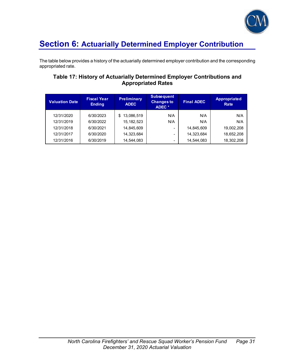

The table below provides a history of the actuarially determined employer contribution and the corresponding appropriated rate.

### **Table 17: History of Actuarially Determined Employer Contributions and Appropriated Rates**

| <b>Valuation Date</b> | <b>Fiscal Year</b><br><b>Ending</b> | <b>Preliminary</b><br><b>ADEC</b> | <b>Subsequent</b><br><b>Changes to</b><br>ADEC * | <b>Final ADEC</b> | <b>Appropriated</b><br>Rate |
|-----------------------|-------------------------------------|-----------------------------------|--------------------------------------------------|-------------------|-----------------------------|
| 12/31/2020            | 6/30/2023                           | 13,086,519<br>S                   | N/A                                              | N/A               | N/A                         |
| 12/31/2019            | 6/30/2022                           | 15, 182, 523                      | N/A                                              | N/A               | N/A                         |
| 12/31/2018            | 6/30/2021                           | 14,845,609                        | $\overline{\phantom{0}}$                         | 14,845,609        | 19,002,208                  |
| 12/31/2017            | 6/30/2020                           | 14,323,684                        | ۰                                                | 14,323,684        | 18,652,208                  |
| 12/31/2016            | 6/30/2019                           | 14,544,083                        | $\qquad \qquad \blacksquare$                     | 14,544,083        | 18,302,208                  |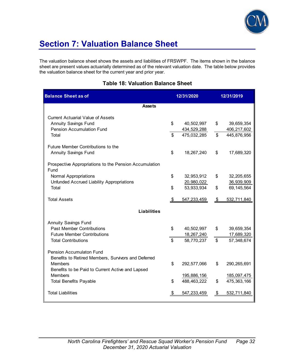

# **Section 7: Valuation Balance Sheet**

The valuation balance sheet shows the assets and liabilities of FRSWPF. The items shown in the balance sheet are present values actuarially determined as of the relevant valuation date. The table below provides the valuation balance sheet for the current year and prior year.

| <b>Balance Sheet as of</b>                                                             |                | 12/31/2020  | 12/31/2019              |              |  |
|----------------------------------------------------------------------------------------|----------------|-------------|-------------------------|--------------|--|
| <b>Assets</b>                                                                          |                |             |                         |              |  |
| <b>Current Actuarial Value of Assets</b>                                               |                |             |                         |              |  |
| <b>Annuity Savings Fund</b>                                                            | \$             | 40,502,997  | \$                      | 39,659,354   |  |
| <b>Pension Accumulation Fund</b>                                                       |                | 434,529,288 |                         | 406,217,602  |  |
| Total                                                                                  | $\mathfrak{L}$ | 475,032,285 | \$                      | 445,876,956  |  |
| Future Member Contributions to the                                                     |                |             |                         |              |  |
| <b>Annuity Savings Fund</b>                                                            | \$             | 18,267,240  | \$                      | 17,689,320   |  |
| Prospective Appropriations to the Pension Accumulation<br>Fund                         |                |             |                         |              |  |
| <b>Normal Appropriations</b>                                                           | \$             | 32,953,912  | \$                      | 32,205,655   |  |
| Unfunded Accrued Liability Appropriations                                              |                | 20,980,022  |                         | 36,939,909   |  |
| Total                                                                                  | \$             | 53,933,934  | \$                      | 69, 145, 564 |  |
| <b>Total Assets</b>                                                                    | $\frac{1}{2}$  | 547,233,459 | $\sqrt[6]{\frac{1}{2}}$ | 532,711,840  |  |
| <b>Liabilities</b>                                                                     |                |             |                         |              |  |
| <b>Annuity Savings Fund</b>                                                            |                |             |                         |              |  |
| <b>Past Member Contributions</b>                                                       | \$             | 40,502,997  | \$                      | 39,659,354   |  |
| <b>Future Member Contributions</b>                                                     |                | 18,267,240  |                         | 17,689,320   |  |
| <b>Total Contributions</b>                                                             | \$             | 58,770,237  | \$                      | 57,348,674   |  |
| <b>Pension Accumulaton Fund</b><br>Benefits to Retired Members, Survivors and Deferred |                |             |                         |              |  |
| <b>Members</b>                                                                         | \$             | 292,577,066 | \$                      | 290,265,691  |  |
| Benefits to be Paid to Current Active and Lapsed                                       |                |             |                         |              |  |
| <b>Members</b>                                                                         |                | 195,886,156 |                         | 185,097,475  |  |
| <b>Total Benefits Payable</b>                                                          | \$             | 488,463,222 | \$                      | 475,363,166  |  |
| <b>Total Liabilities</b>                                                               | \$             | 547,233,459 | $\frac{1}{2}$           | 532,711,840  |  |

### **Table 18: Valuation Balance Sheet**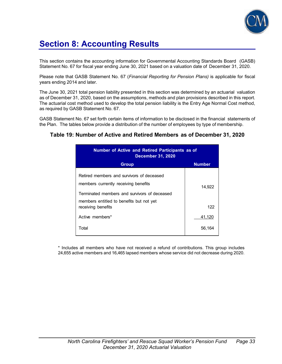

# **Section 8: Accounting Results**

This section contains the accounting information for Governmental Accounting Standards Board (GASB) Statement No. 67 for fiscal year ending June 30, 2021 based on a valuation date of December 31, 2020.

Please note that GASB Statement No. 67 (*Financial Reporting for Pension Plans)* is applicable for fiscal years ending 2014 and later.

The June 30, 2021 total pension liability presented in this section was determined by an actuarial valuation as of December 31, 2020, based on the assumptions, methods and plan provisions described in this report. The actuarial cost method used to develop the total pension liability is the Entry Age Normal Cost method, as required by GASB Statement No. 67.

GASB Statement No. 67 set forth certain items of information to be disclosed in the financial statements of the Plan. The tables below provide a distribution of the number of employees by type of membership.

#### **Table 19: Number of Active and Retired Members as of December 31, 2020**

| <b>Number of Active and Retired Participants as of</b><br><b>December 31, 2020</b>                                                |               |
|-----------------------------------------------------------------------------------------------------------------------------------|---------------|
| <b>Group</b>                                                                                                                      | <b>Number</b> |
| Retired members and survivors of deceased<br>members currently receiving benefits<br>Terminated members and survivors of deceased | 14,922        |
| members entitled to benefits but not yet<br>receiving benefits                                                                    | 122           |
| Active members*                                                                                                                   | 41,120        |
| Total                                                                                                                             | 56,164        |

\* Includes all members who have not received a refund of contributions. This group includes 24,655 active members and 16,465 lapsed members whose service did not decrease during 2020.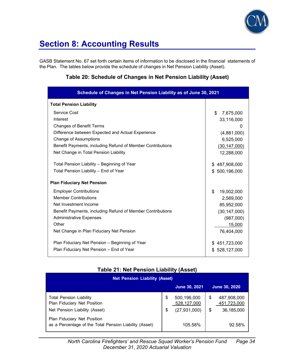

# **Section 8: Accounting Results**

GASB Statement No. 67 set forth certain items of information to be disclosed in the financial statements of the Plan. The tables below provide the schedule of changes in Net Pension Liability (Asset).

### **Table 20: Schedule of Changes in Net Pension Liability (Asset)**

| Schedule of Changes in Net Pension Liability as of June 30, 2021 |                  |  |  |  |  |  |  |  |
|------------------------------------------------------------------|------------------|--|--|--|--|--|--|--|
| <b>Total Pension Liability</b>                                   |                  |  |  |  |  |  |  |  |
| Service Cost                                                     | \$<br>7,675,000  |  |  |  |  |  |  |  |
| Interest                                                         | 33,116,000       |  |  |  |  |  |  |  |
| <b>Changes of Benefit Terms</b>                                  | $\Omega$         |  |  |  |  |  |  |  |
| Difference between Expected and Actual Experience                | (4,881,000)      |  |  |  |  |  |  |  |
| <b>Change of Assumptions</b>                                     | 6,525,000        |  |  |  |  |  |  |  |
| Benefit Payments, including Refund of Member Contributions       | (30, 147, 000)   |  |  |  |  |  |  |  |
| Net Change in Total Pension Liability                            | 12,288,000       |  |  |  |  |  |  |  |
| Total Pension Liability - Beginning of Year                      | \$487,908,000    |  |  |  |  |  |  |  |
| Total Pension Liability - End of Year                            | \$500,196,000    |  |  |  |  |  |  |  |
| <b>Plan Fiduciary Net Pension</b>                                |                  |  |  |  |  |  |  |  |
| <b>Employer Contributions</b>                                    | \$<br>19,002,000 |  |  |  |  |  |  |  |
| <b>Member Contributions</b>                                      | 2,569,000        |  |  |  |  |  |  |  |
| Net Investment Income                                            | 85,952,000       |  |  |  |  |  |  |  |
| Benefit Payments, including Refund of Member Contributions       | (30, 147, 000)   |  |  |  |  |  |  |  |
| <b>Administrative Expenses</b>                                   | (987,000)        |  |  |  |  |  |  |  |
| Other                                                            | 15,000           |  |  |  |  |  |  |  |
| Net Change in Plan Fiduciary Net Pension                         | 76,404,000       |  |  |  |  |  |  |  |
| Plan Fiduciary Net Pension - Beginning of Year                   | \$451,723,000    |  |  |  |  |  |  |  |
| Plan Fiduciary Net Pension - End of Year                         | \$528,127,000    |  |  |  |  |  |  |  |

### **Table 21: Net Pension Liability (Asset)**

| <b>Net Pension Liability (Asset)</b>                                                           |          |                                              |          |                                          |  |  |  |  |
|------------------------------------------------------------------------------------------------|----------|----------------------------------------------|----------|------------------------------------------|--|--|--|--|
|                                                                                                |          | <b>June 30, 2021</b>                         |          | June 30, 2020                            |  |  |  |  |
| <b>Total Pension Liability</b><br>Plan Fiduciary Net Position<br>Net Pension Liability (Asset) | \$<br>\$ | 500,196,000<br>528,127,000<br>(27, 931, 000) | \$<br>\$ | 487,908,000<br>451,723,000<br>36,185,000 |  |  |  |  |
| <b>Plan Fiduciary Net Position</b><br>as a Percentage of the Total Pension Liability (Asset)   |          | 105.58%                                      |          | 92.58%                                   |  |  |  |  |

 *North Carolina Firefighters' and Rescue Squad Worker's Pension Fund Page 34 December 31*, *2020 Actuarial Valuation*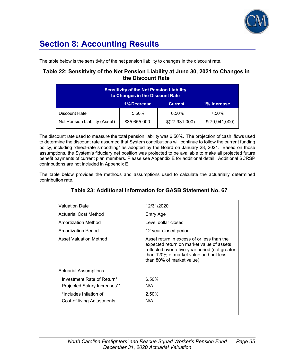

# **Section 8: Accounting Results**

The table below is the sensitivity of the net pension liability to changes in the discount rate.

### **Table 22: Sensitivity of the Net Pension Liability at June 30, 2021 to Changes in the Discount Rate**

| <b>Sensitivity of the Net Pension Liability</b><br>to Changes in the Discount Rate |              |                |                |  |  |  |  |  |  |  |
|------------------------------------------------------------------------------------|--------------|----------------|----------------|--|--|--|--|--|--|--|
| <b>1% Decrease</b><br>1% Increase<br><b>Current</b>                                |              |                |                |  |  |  |  |  |  |  |
| Discount Rate                                                                      | 5.50%        | 6.50%          | 7.50%          |  |  |  |  |  |  |  |
| Net Pension Liability (Asset)                                                      | \$35,655,000 | \$(27,931,000) | \$(79,941,000) |  |  |  |  |  |  |  |

The discount rate used to measure the total pension liability was 6.50%. The projection of cash flows used to determine the discount rate assumed that System contributions will continue to follow the current funding policy, including "direct-rate smoothing" as adopted by the Board on January 28, 2021. Based on those assumptions, the System's fiduciary net position was projected to be available to make all projected future benefit payments of current plan members. Please see Appendix E for additional detail. Additional SCRSP contributions are not included in Appendix E.

The table below provides the methods and assumptions used to calculate the actuarially determined contribution rate.

| <b>Valuation Date</b>                                      | 12/31/2020                                                                                                                                                                                                       |
|------------------------------------------------------------|------------------------------------------------------------------------------------------------------------------------------------------------------------------------------------------------------------------|
| Actuarial Cost Method                                      | Entry Age                                                                                                                                                                                                        |
| Amortization Method                                        | Level dollar closed                                                                                                                                                                                              |
| Amortization Period                                        | 12 year closed period                                                                                                                                                                                            |
| Asset Valuation Method                                     | Asset return in excess of or less than the<br>expected return on market value of assets<br>reflected over a five-year period (not greater<br>than 120% of market value and not less<br>than 80% of market value) |
| <b>Actuarial Assumptions</b>                               |                                                                                                                                                                                                                  |
| Investment Rate of Return*<br>Projected Salary Increases** | 6.50%<br>N/A                                                                                                                                                                                                     |
| *Includes Inflation of<br>Cost-of-living Adjustments       | 2.50%<br>N/A                                                                                                                                                                                                     |

### **Table 23: Additional Information for GASB Statement No. 67**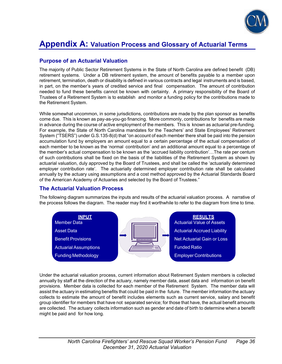

### **Purpose of an Actuarial Valuation**

The majority of Public Sector Retirement Systems in the State of North Carolina are defined benefit (DB) retirement systems. Under a DB retirement system, the amount of benefits payable to a member upon retirement, termination, death or disability is defined in various contracts and legal instruments and is based, in part, on the member's years of credited service and final compensation. The amount of contribution needed to fund these benefits cannot be known with certainty. A primary responsibility of the Board of Trustees of a Retirement System is to establish and monitor a funding policy for the contributions made to the Retirement System.

While somewhat uncommon, in some jurisdictions, contributions are made by the plan sponsor as benefits come due. This is known as pay-as-you-go financing. More commonly, contributions for benefits are made in advance during the course of active employment of the members. This is known as actuarial pre-funding. For example, the State of North Carolina mandates for the Teachers' and State Employees' Retirement System ("TSERS") under G.S.135-8(d) that "on account of each member there shall be paid into the pension accumulation fund by employers an amount equal to a certain percentage of the actual compensation of each member to be known as the 'normal contribution' and an additional amount equal to a percentage of the member's actual compensation to be known as the 'accrued liability contribution'…The rate per centum of such contributions shall be fixed on the basis of the liabilities of the Retirement System as shown by actuarial valuation, duly approved by the Board of Trustees, and shall be called the 'actuarially determined employer contribution rate'. The actuarially determined employer contribution rate shall be calculated annually by the actuary using assumptions and a cost method approved by the Actuarial Standards Board of the American Academy of Actuaries and selected by the Board of Trustees."

#### **The Actuarial Valuation Process**

The following diagram summarizes the inputs and results of the actuarial valuation process. A narrative of the process follows the diagram. The reader may find it worthwhile to refer to the diagram from time to time.



Under the actuarial valuation process, current information about Retirement System members is collected annually by staff at the direction of the actuary, namely member data, asset data and information on benefit provisions. Member data is collected for each member of the Retirement System. The member data will assist the actuary in estimating benefits that could be paid in the future. The member information the actuary collects to estimate the amount of benefit includes elements such as current service, salary and benefit group identifier for members that have not separated service; for those that have, the actual benefit amounts are collected. The actuary collects information such as gender and date of birth to determine when a benefit might be paid and for how long.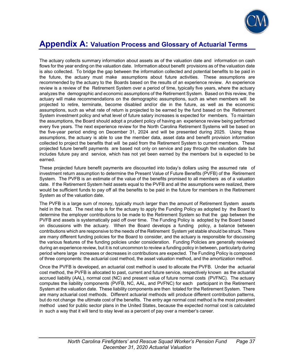

The actuary collects summary information about assets as of the valuation date and information on cash flows for the year ending on the valuation date. Information about benefit provisions as of the valuation date is also collected. To bridge the gap between the information collected and potential benefits to be paid in the future, the actuary must make assumptions about future activities. These assumptions are recommended by the actuary to the Boards based on the results of an experience review. An experience review is a review of the Retirement System over a period of time, typically five years, where the actuary analyzes the demographic and economic assumptions of the Retirement System. Based on this review, the actuary will make recommendations on the demographic assumptions, such as when members will be projected to retire, terminate, become disabled and/or die in the future, as well as the economic assumptions, such as what rate of return is projected to be earned by the fund based on the Retirement System investment policy and what level of future salary increases is expected for members. To maintain the assumptions, the Board should adopt a prudent policy of having an experience review being performed every five years. The next experience review for the North Carolina Retirement Systems will be based on the five-year period ending on December 31, 2024 and will be presented during 2025. Using these assumptions, the actuary is able to use the member data, asset data and benefit provision information collected to project the benefits that will be paid from the Retirement System to current members. These projected future benefit payments are based not only on service and pay through the valuation date but includes future pay and service, which has not yet been earned by the members but is expected to be earned.

These projected future benefit payments are discounted into today's dollars using the assumed rate of investment return assumption to determine the Present Value of Future Benefits (PVFB) of the Retirement System. The PVFB is an estimate of the value of the benefits promised to all members as of a valuation date. If the Retirement System held assets equal to the PVFB and all the assumptions were realized, there would be sufficient funds to pay off all the benefits to be paid in the future for members in the Retirement System as of the valuation date.

The PVFB is a large sum of money, typically much larger than the amount of Retirement System assets held in the trust. The next step is for the actuary to apply the Funding Policy as adopted by the Board to determine the employer contributions to be made to the Retirement System so that the gap between the PVFB and assets is systematically paid off over time. The Funding Policy is adopted by the Board based on discussions with the actuary. When the Board develops a funding policy, a balance between contributions which are responsive to the needs of the Retirement System yet stable should be struck. There are many different funding policies for the Board to consider, and the actuary is responsible for discussing the various features of the funding policies under consideration. Funding Policies are generally reviewed during an experience review, but it is not uncommon to review a funding policy in between, particularly during period where large increases or decreases in contributions are expected. The Funding Policy is composed of three components: the actuarial cost method, the asset valuation method, and the amortization method.

Once the PVFB is developed, an actuarial cost method is used to allocate the PVFB. Under the actuarial cost method, the PVFB is allocated to past, current and future service, respectively known as the actuarial accrued liability (AAL), normal cost (NC) and present value of future normal costs (PVFNC). The actuary computes the liability components (PVFB, NC, AAL, and PVFNC) for each participant in the Retirement System at the valuation date. These liability components are then totaled for the Retirement System. There are many actuarial cost methods. Different actuarial methods will produce different contribution patterns, but do not change the ultimate cost of the benefits. The entry age normal cost method is the most prevalent method used for public sector plans in the United States, because the expected normal cost is calculated in such a way that it will tend to stay level as a percent of pay over a member's career.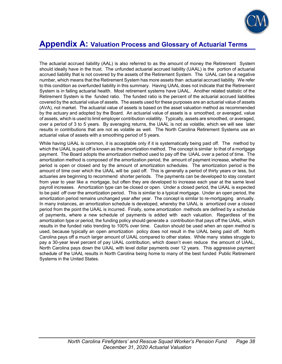

The actuarial accrued liability (AAL) is also referred to as the amount of money the Retirement System should ideally have in the trust. The unfunded actuarial accrued liability (UAAL) is the portion of actuarial accrued liability that is not covered by the assets of the Retirement System. The UAAL can be a negative number, which means that the Retirement System has more assets than actuarial accrued liability. We refer to this condition as overfunded liability in this summary. Having UAAL does not indicate that the Retirement System is in failing actuarial health. Most retirement systems have UAAL. Another related statistic of the Retirement System is the funded ratio. The funded ratio is the percent of the actuarial accrued liabilities covered by the actuarial value of assets. The assets used for these purposes are an actuarial value of assets (AVA), not market. The actuarial value of assets is based on the asset valuation method as recommended by the actuary and adopted by the Board. An actuarial value of assets is a smoothed, or averaged, value of assets, which is used to limit employer contribution volatility. Typically, assets are smoothed, or averaged, over a period of 3 to 5 years. By averaging returns, the UAAL is not as volatile, which we will see later results in contributions that are not as volatile as well. The North Carolina Retirement Systems use an actuarial value of assets with a smoothing period of 5 years.

While having UAAL is common, it is acceptable only if it is systematically being paid off. The method by which the UAAL is paid off is known as the amortization method. The concept is similar to that of a mortgage payment. The Board adopts the amortization method used to pay off the UAAL over a period of time. The amortization method is composed of the amortization period, the amount of payment increase, whether the period is open or closed and by the amount of amortization schedules. The amortization period is the amount of time over which the UAAL will be paid off. This is generally a period of thirty years or less, but actuaries are beginning to recommend shorter periods. The payments can be developed to stay constant from year to year like a mortgage, but often they are developed to increase each year at the same level payroll increases. Amortization type can be closed or open. Under a closed period, the UAAL is expected to be paid off over the amortization period. This is similar to a typical mortgage. Under an open period, the amortization period remains unchanged year after year. The concept is similar to re-mortgaging annually. In many instances, an amortization schedule is developed, whereby the UAAL is amortized over a closed period from the point the UAAL is incurred. Finally, some amortization methods are defined by a schedule of payments, where a new schedule of payments is added with each valuation. Regardless of the amortization type or period, the funding policy should generate a contribution that pays off the UAAL, which results in the funded ratio trending to 100% over time. Caution should be used when an open method is used, because typically an open amortization policy does not result in the UAAL being paid off. North Carolina pays off a much larger amount of UAAL compared to other states. While many states struggle to pay a 30-year level percent of pay UAAL contribution, which doesn't even reduce the amount of UAAL, North Carolina pays down the UAAL with level dollar payments over 12 years. This aggressive payment schedule of the UAAL results in North Carolina being home to many of the best funded Public Retirement Systems in the United States.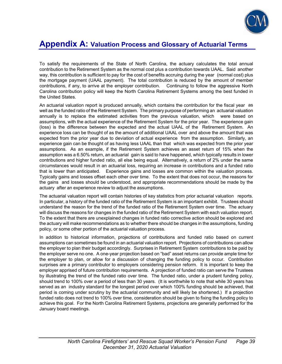

To satisfy the requirements of the State of North Carolina, the actuary calculates the total annual contribution to the Retirement System as the normal cost plus a contribution towards UAAL. Said another way, this contribution is sufficient to pay for the cost of benefits accruing during the year (normal cost) plus the mortgage payment (UAAL payment). The total contribution is reduced by the amount of member contributions, if any, to arrive at the employer contribution. Continuing to follow the aggressive North Carolina contribution policy will keep the North Carolina Retirement Systems among the best funded in the United States.

An actuarial valuation report is produced annually, which contains the contribution for the fiscal year as well as the funded ratio of the Retirement System. The primary purpose of performing an actuarial valuation annually is to replace the estimated activities from the previous valuation, which were based on assumptions, with the actual experience of the Retirement System for the prior year. The experience gain (loss) is the difference between the expected and the actual UAAL of the Retirement System. An experience loss can be thought of as the amount of additional UAAL over and above the amount that was expected from the prior year due to deviation of actual experience from the assumption. Similarly, an experience gain can be thought of as having less UAAL than that which was expected from the prior year assumptions. As an example, if the Retirement System achieves an asset return of 15% when the assumption was a 6.50% return, an actuarial gain is said to have happened, which typically results in lower contributions and higher funded ratio, all else being equal. Alternatively, a return of 2% under the same circumstances would result in an actuarial loss, requiring an increase in contributions and a funded ratio that is lower than anticipated. Experience gains and losses are common within the valuation process. Typically gains and losses offset each other over time. To the extent that does not occur, the reasons for the gains and losses should be understood, and appropriate recommendations should be made by the actuary after an experience review to adjust the assumptions.

The actuarial valuation report will contain histories of key statistics from prior actuarial valuation reports. In particular, a history of the funded ratio of the Retirement System is an important exhibit. Trustees should understand the reason for the trend of the funded ratio of the Retirement System over time. The actuary will discuss the reasons for changes in the funded ratio of the Retirement System with each valuation report. To the extent that there are unexplained changes in funded ratio corrective action should be explored and the actuary will make recommendations as to whether there should be changes in the assumptions, funding policy, or some other portion of the actuarial valuation process.

In addition to historical information, projections of contributions and funded ratio based on current assumptions can sometimes be found in an actuarial valuation report. Projections of contributions can allow the employer to plan their budget accordingly. Surprises in Retirement System contributions to be paid by the employer serve no one. A one-year projection based on "bad" asset returns can provide ample time for the employer to plan, or allow for a discussion of changing the funding policy to occur. Contribution surprises are a primary contributor to employers considering pension reform. It is important to keep the employer apprised of future contribution requirements. A projection of funded ratio can serve the Trustees by illustrating the trend of the funded ratio over time. The funded ratio, under a prudent funding policy, should trend to 100% over a period of less than 30 years. (It is worthwhile to note that while 30 years has served as an industry standard for the longest period over which 100% funding should be achieved, that period is coming under scrutiny by the actuarial community and will likely be shortened.) If a projection funded ratio does not trend to 100% over time, consideration should be given to fixing the funding policy to achieve this goal. For the North Carolina Retirement Systems, projections are generally performed for the January board meetings.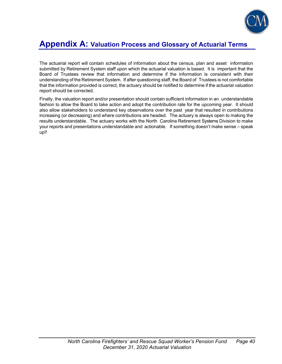

The actuarial report will contain schedules of information about the census, plan and asset information submitted by Retirement System staff upon which the actuarial valuation is based. It is important that the Board of Trustees review that information and determine if the information is consistent with their understanding of the Retirement System. If after questioning staff, the Board of Trustees is not comfortable that the information provided is correct, the actuary should be notified to determine if the actuarial valuation report should be corrected.

Finally, the valuation report and/or presentation should contain sufficient information in an understandable fashion to allow the Board to take action and adopt the contribution rate for the upcoming year. It should also allow stakeholders to understand key observations over the past year that resulted in contributions increasing (or decreasing) and where contributions are headed. The actuary is always open to making the results understandable. The actuary works with the North Carolina Retirement Systems Division to make your reports and presentations understandable and actionable. If something doesn't make sense – speak up!!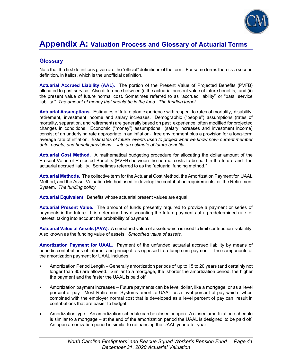

### **Glossary**

Note that the first definitions given are the "official" definitions of the term. For some terms there is a second definition, in italics, which is the unofficial definition.

**Actuarial Accrued Liability (AAL).** The portion of the Present Value of Projected Benefits (PVFB) allocated to past service. Also difference between (i) the actuarial present value of future benefits, and (ii) the present value of future normal cost. Sometimes referred to as "accrued liability" or "past service liability." *The amount of money that should be in the fund. The funding target.*

**Actuarial Assumptions.** Estimates of future plan experience with respect to rates of mortality, disability, retirement, investment income and salary increases. Demographic ("people") assumptions (rates of mortality, separation, and retirement) are generally based on past experience, often modified for projected changes in conditions. Economic ("money") assumptions (salary increases and investment income) consist of an underlying rate appropriate in an inflation- free environment plus a provision for a long-term average rate of inflation. *Estimates of future events used to project what we know now- current member data, assets, and benefit provisions – into an estimate of future benefits.*

**Actuarial Cost Method.** A mathematical budgeting procedure for allocating the dollar amount of the Present Value of Projected Benefits (PVFB) between the normal costs to be paid in the future and the actuarial accrued liability. Sometimes referred to as the "actuarial funding method."

**Actuarial Methods.** The collective term for the Actuarial Cost Method, the Amortization Payment for UAAL Method, and the Asset Valuation Method used to develop the contribution requirements for the Retirement System. *The funding policy*.

**Actuarial Equivalent.** Benefits whose actuarial present values are equal.

**Actuarial Present Value.** The amount of funds presently required to provide a payment or series of payments in the future. It is determined by discounting the future payments at a predetermined rate of interest, taking into account the probability of payment.

**Actuarial Value of Assets (AVA).** A smoothed value of assets which is used to limit contribution volatility. Also known as the funding value of assets*. Smoothed value of assets.* 

**Amortization Payment for UAAL**. Payment of the unfunded actuarial accrued liability by means of periodic contributions of interest and principal, as opposed to a lump sum payment. The components of the amortization payment for UAAL includes:

- Amortization Period Length Generally amortization periods of up to 15 to 20 years (and certainly not longer than 30) are allowed. Similar to a mortgage, the shorter the amortization period, the higher the payment and the faster the UAAL is paid off.
- Amortization payment increases Future payments can be level dollar, like a mortgage, or as a level percent of pay. Most Retirement Systems amortize UAAL as a level percent of pay which when combined with the employer normal cost that is developed as a level percent of pay can result in contributions that are easier to budget.
- Amortization type An amortization schedule can be closed or open. A closed amortization schedule is similar to a mortgage – at the end of the amortization period the UAAL is designed to be paid off. An open amortization period is similar to refinancing the UAAL year after year.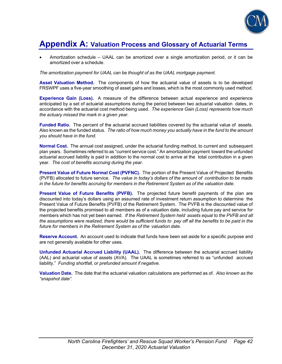

 Amortization schedule – UAAL can be amortized over a single amortization period, or it can be amortized over a schedule.

*The amortization payment for UAAL can be thought of as the UAAL mortgage payment.*

**Asset Valuation Method.** The components of how the actuarial value of assets is to be developed FRSWPF uses a five-year smoothing of asset gains and losses, which is the most commonly used method.

**Experience Gain (Loss).** A measure of the difference between actual experience and experience anticipated by a set of actuarial assumptions during the period between two actuarial valuation dates, in accordance with the actuarial cost method being used. *The experience Gain (Loss) represents how much the actuary missed the mark in a given year.*

**Funded Ratio.** The percent of the actuarial accrued liabilities covered by the actuarial value of assets. Also known as the funded status. *The ratio of how much money you actually have in the fund to the amount you should have in the fund.* 

**Normal Cost.** The annual cost assigned, under the actuarial funding method, to current and subsequent plan years. Sometimes referred to as "current service cost." An amortization payment toward the unfunded actuarial accrued liability is paid in addition to the normal cost to arrive at the total contribution in a given year. *The cost of benefits accruing during the year*.

**Present Value of Future Normal Cost (PVFNC).** The portion of the Present Value of Projected Benefits (PVFB) allocated to future service. *The value in today's dollars of the amount of contribution to be made in the future for benefits accruing for members in the Retirement System as of the valuation date.* 

**Present Value of Future Benefits (PVFB).** The projected future benefit payments of the plan are discounted into today's dollars using an assumed rate of investment return assumption to determine the Present Value of Future Benefits (PVFB) of the Retirement System. The PVFB is the discounted value of the projected benefits promised to all members as of a valuation date, including future pay and service for members which has not yet been earned. *If the Retirement System held assets equal to the PVFB and all the assumptions were realized, there would be sufficient funds to pay off all the benefits to be paid in the future for members in the Retirement System as of the valuation date.*

**Reserve Account.** An account used to indicate that funds have been set aside for a specific purpose and are not generally available for other uses.

**Unfunded Actuarial Accrued Liability (UAAL).** The difference between the actuarial accrued liability (AAL) and actuarial value of assets (AVA). The UAAL is sometimes referred to as "unfunded accrued liability." *Funding shortfall, or prefunded amount if negative.*

**Valuation Date.** The date that the actuarial valuation calculations are performed as of. *Also known as the "snapshot date".*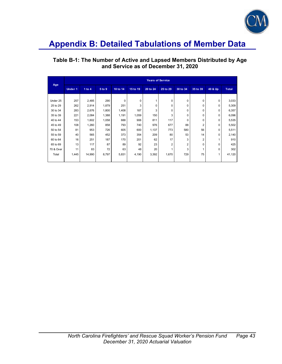

### **Table B-1: The Number of Active and Lapsed Members Distributed by Age and Service as of December 31, 2020**

| Age       | <b>Years of Service</b> |          |        |          |          |          |                |                |                |          |              |
|-----------|-------------------------|----------|--------|----------|----------|----------|----------------|----------------|----------------|----------|--------------|
|           | Under 1                 | 1 to $4$ | 5 to 9 | 10 to 14 | 15 to 19 | 20 to 24 | 25 to 29       | 30 to 34       | 35 to 39       | 40 & Up  | <b>Total</b> |
|           |                         |          |        |          |          |          |                |                |                |          |              |
| Under 25  | 257                     | 2,485    | 290    | 0        | 0        |          | 0              | 0              | 0              | 0        | 3,033        |
| 25 to 29  | 262                     | 2,914    | 1,879  | 251      | 3        | 0        | 0              | 0              | 0              | 0        | 5,309        |
| 30 to 34  | 283                     | 2,676    | 1,800  | 1,408    | 187      | 3        | 0              | 0              | 0              | 0        | 6,357        |
| 35 to 39  | 221                     | 2,084    | 1,388  | 1,191    | 1,059    | 150      | 3              | $\Omega$       | 0              | 0        | 6,096        |
| 40 to 44  | 153                     | 1,602    | 1,058  | 888      | 906      | 811      | 117            | $\Omega$       | 0              | 0        | 5,535        |
| 45 to 49  | 108                     | 1,260    | 858    | 793      | 740      | 976      | 677            | 88             | $\overline{2}$ | 0        | 5,502        |
| 50 to 54  | 81                      | 953      | 726    | 605      | 600      | 1,137    | 773            | 580            | 56             | 0        | 5,511        |
| 55 to 59  | 40                      | 565      | 452    | 373      | 354      | 209      | 80             | 53             | 14             | 0        | 2,140        |
| 60 to 64  | 16                      | 251      | 187    | 170      | 201      | 62       | 17             | 3              | $\overline{2}$ | 1        | 910          |
| 65 to 69  | 13                      | 117      | 87     | 89       | 92       | 23       | $\overline{2}$ | $\overline{2}$ | $\Omega$       | $\Omega$ | 425          |
| 70 & Over | 11                      | 83       | 72     | 63       | 48       | 20       |                | 3              |                | $\Omega$ | 302          |
| Total     | 1,445                   | 14,990   | 8,797  | 5,831    | 4,190    | 3,392    | 1,670          | 729            | 75             | 1        | 41,120       |
|           |                         |          |        |          |          |          |                |                |                |          |              |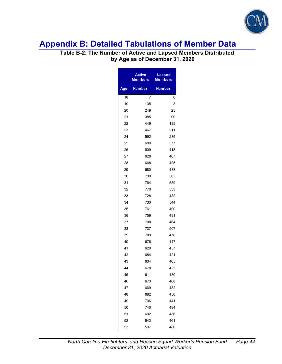

### **Table B-2: The Number of Active and Lapsed Members Distributed by Age as of December 31, 2020**

|     | <b>Active</b><br>Members | <b>Lapsed</b><br><b>Members</b> |  |
|-----|--------------------------|---------------------------------|--|
| Age | <b>Number</b>            | Number                          |  |
| 18  | 7                        | 0                               |  |
| 19  | 135                      | 3                               |  |
| 20  | 249                      | 25                              |  |
| 21  | 385                      | 90                              |  |
| 22  | 449                      | 135                             |  |
| 23  | 467                      | 211                             |  |
| 24  | 592                      | 285                             |  |
| 25  | 609                      | 377                             |  |
| 26  | 609                      | 418                             |  |
| 27  | 628                      | 407                             |  |
| 28  | 668                      | 425                             |  |
| 29  | 680                      | 488                             |  |
| 30  | 739                      | 505                             |  |
| 31  | 764                      | 559                             |  |
| 32  | 770                      | 533                             |  |
| 33  | 728                      | 482                             |  |
| 34  | 733                      | 544                             |  |
| 35  | 761                      | 490                             |  |
| 36  | 759                      | 491                             |  |
| 37  | 708                      | 464                             |  |
| 38  | 737                      | 507                             |  |
| 39  | 709                      | 470                             |  |
| 40  | 676                      | 447                             |  |
| 41  | 620                      | 457                             |  |
| 42  | 684                      | 421                             |  |
| 43  | 634                      | 465                             |  |
| 44  | 678                      | 453                             |  |
| 45  | 611                      | 430                             |  |
| 46  | 673                      | 408                             |  |
| 47  | 669                      | 432                             |  |
| 48  | 682                      | 450                             |  |
| 49  | 706                      | 441                             |  |
| 50  | 740                      | 484                             |  |
| 51  | 692                      | 436                             |  |
| 52  | 643                      | 461                             |  |
| 53  | 597                      | 480                             |  |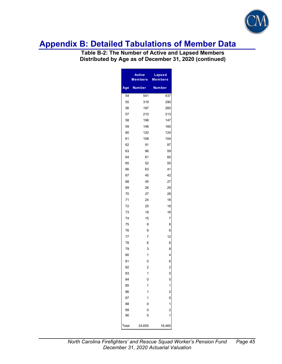

**Table B-2: The Number of Active and Lapsed Members Distributed by Age as of December 31, 2020 (continued)** 

| <b>Active</b><br><b>Members</b> |                | <b>Lapsed</b><br><b>Members</b>                      |  |
|---------------------------------|----------------|------------------------------------------------------|--|
| Age                             | <b>Number</b>  | Number                                               |  |
| 54                              | 541            | 437                                                  |  |
| 55                              | 319            | 290                                                  |  |
| 56                              | 197            | 260                                                  |  |
| 57                              | 210            | 213                                                  |  |
| 58                              | 198            | 147                                                  |  |
| 59                              | 146            | 160                                                  |  |
| 60                              | 120            | 124                                                  |  |
| 61                              | 108            | 104                                                  |  |
| 62                              | 91             | 87                                                   |  |
| 63                              | 96             | 59                                                   |  |
| 64                              | 61             | 60                                                   |  |
| 65                              | 52             | 55                                                   |  |
| 66                              | 63             | 41                                                   |  |
| 67                              | 45             | 42                                                   |  |
| 68                              | 45             | 27                                                   |  |
| 69                              | 26             | 29                                                   |  |
| 70                              | 27             | 28                                                   |  |
| 71                              | 24             | 18                                                   |  |
| 72                              | 25             | 18                                                   |  |
| 73                              | 18             | 16                                                   |  |
| 74                              | 15             | 7                                                    |  |
| 75                              | 8              | 8                                                    |  |
| 76                              | 6              | 6                                                    |  |
| 77                              | 7              | 12                                                   |  |
| 78                              | 6              | 6                                                    |  |
| 79                              | 3              | 8                                                    |  |
| 80                              | 1              | 4                                                    |  |
| 81                              | 0              | 6                                                    |  |
| 82                              | $\overline{c}$ | 2                                                    |  |
| 83                              | 1              | 5                                                    |  |
| 84                              | 0              | 5                                                    |  |
| 85                              | 1              |                                                      |  |
| 86                              | 1              |                                                      |  |
| 87                              | 1              | $\begin{array}{c} 1 \\ 2 \\ 0 \\ 1 \\ 2 \end{array}$ |  |
| 88                              | 0              |                                                      |  |
| 89                              | 0              |                                                      |  |
| 90                              | 0              | $\overline{1}$                                       |  |
| Total                           | 24,655         | 16,465                                               |  |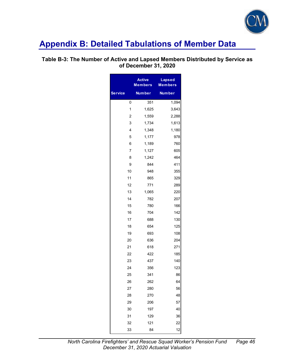

### **Table B-3: The Number of Active and Lapsed Members Distributed by Service as of December 31, 2020**

|                | <b>Active</b><br><b>Members</b> | <b>Lapsed</b><br><b>Members</b> |
|----------------|---------------------------------|---------------------------------|
| <b>Service</b> | <b>Number</b>                   | <b>Number</b>                   |
| 0              | 351                             | 1,094                           |
| 1              | 1,625                           | 3,643                           |
| $\overline{c}$ | 1,559                           | 2,288                           |
| 3              | 1,734                           | 1,613                           |
| 4              | 1,348                           | 1,180                           |
| 5              | 1,177                           | 978                             |
| 6              | 1,189                           | 760                             |
| $\overline{7}$ | 1,127                           | 605                             |
| 8              | 1,242                           | 464                             |
| 9              | 844                             | 411                             |
| 10             | 948                             | 355                             |
| 11             | 865                             | 329                             |
| 12             | 771                             | 289                             |
| 13             | 1,065                           | 220                             |
| 14             | 782                             | 207                             |
| 15             | 780                             | 166                             |
| 16             | 704                             | 142                             |
| 17             | 688                             | 130                             |
| 18             | 654                             | 125                             |
| 19             | 693                             | 108                             |
| 20             | 636                             | 204                             |
| 21             | 618                             | 271                             |
| 22             | 422                             | 185                             |
| 23             | 437                             | 140                             |
| 24             | 356                             | 123                             |
| 25             | 341                             | 86                              |
| 26             | 262                             | 64                              |
| 27             | 280                             | 56                              |
| 28             | 270                             | 48                              |
| 29             | 206                             | 57                              |
| 30             | 197                             | 40                              |
| 31             | 129                             | 36                              |
| 32             | 121                             | 22                              |
| 33             | 84                              | 12                              |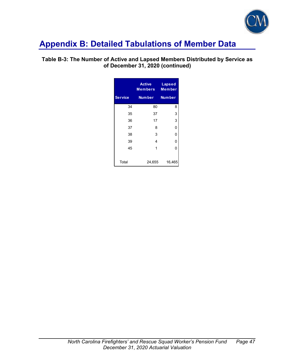

### **Table B-3: The Number of Active and Lapsed Members Distributed by Service as of December 31, 2020 (continued)**

|                | <b>Active</b><br>Members | <b>Lapsed</b><br>Member |
|----------------|--------------------------|-------------------------|
| <b>Service</b> | <b>Number</b>            | <b>Number</b>           |
| 34             | 80                       | 8                       |
| 35             | 37                       | 3                       |
| 36             | 17                       | 3                       |
| 37             | 8                        | 0                       |
| 38             | 3                        | 0                       |
| 39             | 4                        | 0                       |
| 45             | 1                        | 0                       |
| Total          | 24,655                   | 16,465                  |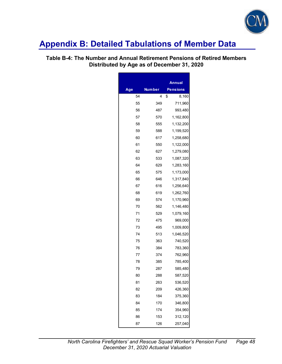

### **Table B-4: The Number and Annual Retirement Pensions of Retired Members Distributed by Age as of December 31, 2020**

|     |        | Annual      |
|-----|--------|-------------|
| Age | Number | Pensions    |
| 54  | 4      | \$<br>8,160 |
| 55  | 349    | 711,960     |
| 56  | 487    | 993,480     |
| 57  | 570    | 1,162,800   |
| 58  | 555    | 1,132,200   |
| 59  | 588    | 1,199,520   |
| 60  | 617    | 1,258,680   |
| 61  | 550    | 1,122,000   |
| 62  | 627    | 1,279,080   |
| 63  | 533    | 1,087,320   |
| 64  | 629    | 1,283,160   |
| 65  | 575    | 1,173,000   |
| 66  | 646    | 1,317,840   |
| 67  | 616    | 1,256,640   |
| 68  | 619    | 1,262,760   |
| 69  | 574    | 1,170,960   |
| 70  | 562    | 1,146,480   |
| 71  | 529    | 1,079,160   |
| 72  | 475    | 969,000     |
| 73  | 495    | 1,009,800   |
| 74  | 513    | 1,046,520   |
| 75  | 363    | 740,520     |
| 76  | 384    | 783,360     |
| 77  | 374    | 762,960     |
| 78  | 385    | 785,400     |
| 79  | 287    | 585,480     |
| 80  | 288    | 587,520     |
| 81  | 263    | 536,520     |
| 82  | 209    | 426,360     |
| 83  | 184    | 375,360     |
| 84  | 170    | 346,800     |
| 85  | 174    | 354,960     |
| 86  | 153    | 312,120     |
| 87  | 126    | 257,040     |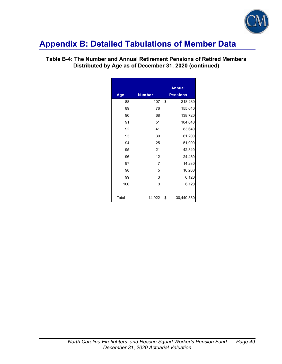

|       |                | <b>Annual</b>    |
|-------|----------------|------------------|
| Age   | <b>Number</b>  | <b>Pensions</b>  |
| 88    | 107            | \$<br>218,280    |
| 89    | 76             | 155,040          |
| 90    | 68             | 138,720          |
| 91    | 51             | 104,040          |
| 92    | 41             | 83,640           |
| 93    | 30             | 61,200           |
| 94    | 25             | 51,000           |
| 95    | 21             | 42,840           |
| 96    | 12             | 24,480           |
| 97    | $\overline{7}$ | 14,280           |
| 98    | 5              | 10,200           |
| 99    | 3              | 6,120            |
| 100   | 3              | 6,120            |
|       |                |                  |
| Total | 14,922         | \$<br>30,440,880 |

### **Table B-4: The Number and Annual Retirement Pensions of Retired Members Distributed by Age as of December 31, 2020 (continued)**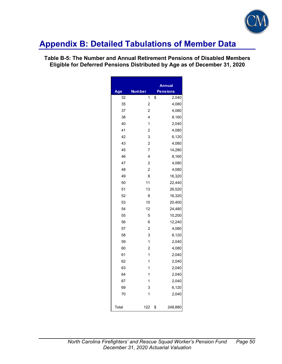

### **Table B-5: The Number and Annual Retirement Pensions of Disabled Members Eligible for Deferred Pensions Distributed by Age as of December 31, 2020**

|       |                | <b>Annual</b>   |
|-------|----------------|-----------------|
| Age   | <b>Number</b>  | <b>Pensions</b> |
| 32    | 1              | \$<br>2,040     |
| 35    | $\overline{c}$ | 4,080           |
| 37    | $\overline{c}$ | 4,080           |
| 38    | 4              | 8,160           |
| 40    | $\overline{1}$ | 2,040           |
| 41    | $\overline{c}$ | 4,080           |
| 42    | 3              | 6,120           |
| 43    | $\overline{2}$ | 4,080           |
| 45    | $\overline{7}$ | 14,280          |
| 46    | 4              | 8,160           |
| 47    | $\overline{c}$ | 4,080           |
| 48    | $\overline{c}$ | 4,080           |
| 49    | 8              | 16,320          |
| 50    | 11             | 22,440          |
| 51    | 13             | 26,520          |
| 52    | 8              | 16,320          |
| 53    | 10             | 20,400          |
| 54    | 12             | 24,480          |
| 55    | 5              | 10,200          |
| 56    | 6              | 12,240          |
| 57    | $\overline{c}$ | 4,080           |
| 58    | 3              | 6,120           |
| 59    | $\overline{1}$ | 2,040           |
| 60    | $\overline{c}$ | 4,080           |
| 61    | $\overline{1}$ | 2,040           |
| 62    | 1              | 2,040           |
| 63    | 1              | 2,040           |
| 64    | 1              | 2,040           |
| 67    | 1              | 2,040           |
| 69    | 3              | 6,120           |
| 70    | 1              | 2,040           |
| Total | 122            | \$<br>248,880   |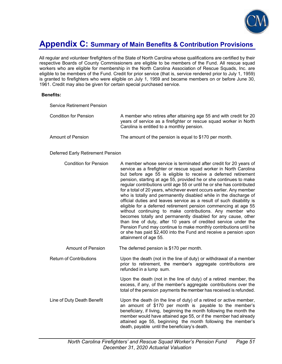

## **Appendix C: Summary of Main Benefits & Contribution Provisions**

All regular and volunteer firefighters of the State of North Carolina whose qualifications are certified by their respective Boards of County Commissioners are eligible to be members of the Fund. All rescue squad workers who are eligible for membership in the North Carolina Association of Rescue Squads, Inc. are eligible to be members of the Fund. Credit for prior service (that is, service rendered prior to July 1, 1959) is granted to firefighters who were eligible on July 1, 1959 and became members on or before June 30, 1961. Credit may also be given for certain special purchased service.

#### **Benefits:**

| <b>Service Retirement Pension</b> |                                                                                                                                                                                       |
|-----------------------------------|---------------------------------------------------------------------------------------------------------------------------------------------------------------------------------------|
| Condition for Pension             | A member who retires after attaining age 55 and with credit for 20<br>years of service as a firefighter or rescue squad worker in North<br>Carolina is entitled to a monthly pension. |
| Amount of Pension                 | The amount of the pension is equal to \$170 per month.                                                                                                                                |

#### Deferred Early Retirement Pension

| <b>Condition for Pension</b>   | A member whose service is terminated after credit for 20 years of<br>service as a firefighter or rescue squad worker in North Carolina<br>but before age 55 is eligible to receive a deferred retirement<br>pension, starting at age 55, provided he or she continues to make<br>regular contributions until age 55 or until he or she has contributed<br>for a total of 20 years, whichever event occurs earlier. Any member<br>who is totally and permanently disabled while in the discharge of<br>official duties and leaves service as a result of such disability is<br>eligible for a deferred retirement pension commencing at age 55<br>without continuing to make contributions. Any member who<br>becomes totally and permanently disabled for any cause, other<br>than line of duty, after 10 years of credited service under the<br>Pension Fund may continue to make monthly contributions until he<br>or she has paid \$2,400 into the Fund and receive a pension upon<br>attainment of age 55. |
|--------------------------------|----------------------------------------------------------------------------------------------------------------------------------------------------------------------------------------------------------------------------------------------------------------------------------------------------------------------------------------------------------------------------------------------------------------------------------------------------------------------------------------------------------------------------------------------------------------------------------------------------------------------------------------------------------------------------------------------------------------------------------------------------------------------------------------------------------------------------------------------------------------------------------------------------------------------------------------------------------------------------------------------------------------|
| <b>Amount of Pension</b>       | The deferred pension is \$170 per month.                                                                                                                                                                                                                                                                                                                                                                                                                                                                                                                                                                                                                                                                                                                                                                                                                                                                                                                                                                       |
| <b>Return of Contributions</b> | Upon the death (not in the line of duty) or withdrawal of a member<br>prior to retirement, the member's aggregate contributions are<br>refunded in a lump sum.                                                                                                                                                                                                                                                                                                                                                                                                                                                                                                                                                                                                                                                                                                                                                                                                                                                 |
|                                | Upon the death (not in the line of duty) of a retired member, the<br>excess, if any, of the member's aggregate contributions over the<br>total of the pension payments the member has received is refunded.                                                                                                                                                                                                                                                                                                                                                                                                                                                                                                                                                                                                                                                                                                                                                                                                    |
| Line of Duty Death Benefit     | Upon the death (in the line of duty) of a retired or active member,<br>an amount of \$170 per month is payable to the member's<br>beneficiary, if living, beginning the month following the month the<br>member would have attained age 55, or if the member had already<br>attained age 55, beginning the month following the member's<br>death, payable until the beneficiary's death.                                                                                                                                                                                                                                                                                                                                                                                                                                                                                                                                                                                                                       |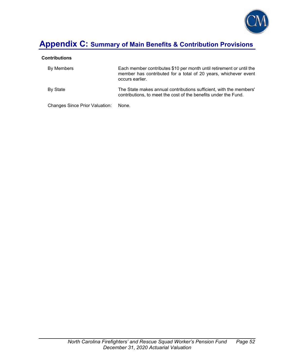

# **Appendix C: Summary of Main Benefits & Contribution Provisions**

#### **Contributions**

| By Members                     | Each member contributes \$10 per month until retirement or until the<br>member has contributed for a total of 20 years, whichever event<br>occurs earlier. |
|--------------------------------|------------------------------------------------------------------------------------------------------------------------------------------------------------|
| By State                       | The State makes annual contributions sufficient, with the members'<br>contributions, to meet the cost of the benefits under the Fund.                      |
| Changes Since Prior Valuation: | None.                                                                                                                                                      |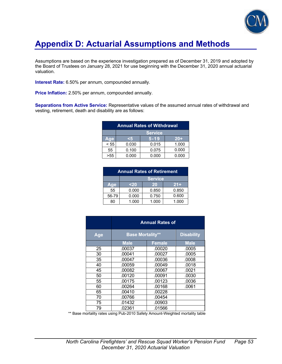

# **Appendix D: Actuarial Assumptions and Methods**

Assumptions are based on the experience investigation prepared as of December 31, 2019 and adopted by the Board of Trustees on January 28, 2021 for use beginning with the December 31, 2020 annual actuarial valuation.

**Interest Rate:** 6.50% per annum, compounded annually.

**Price Inflation:** 2.50% per annum, compounded annually.

**Separations from Active Service:** Representative values of the assumed annual rates of withdrawal and vesting, retirement, death and disability are as follows:

| <b>Annual Rates of Withdrawal</b> |                |          |       |  |
|-----------------------------------|----------------|----------|-------|--|
|                                   | <b>Service</b> |          |       |  |
| Age                               |                | $5 - 19$ | $20+$ |  |
| < 55                              | 0.030          | 0.015    | 1.000 |  |
| 55                                | 0.100          | 0.075    | 0.000 |  |
|                                   | 0.000          | 0.000    | 0.000 |  |

| <b>Annual Rates of Retirement</b> |                |       |       |
|-----------------------------------|----------------|-------|-------|
|                                   | <b>Service</b> |       |       |
| Age                               | <20            | 20    | $21+$ |
| 55                                | 0.000          | 0.850 | 0.850 |
| 56-79                             | 0.000          | 0.750 | 0.600 |
| 80                                | 1.000          | 1.000 | 1.000 |

|     | <b>Annual Rates of</b>  |               |                   |  |  |
|-----|-------------------------|---------------|-------------------|--|--|
| Age | <b>Base Mortality**</b> |               | <b>Disability</b> |  |  |
|     | <b>Male</b>             | <b>Female</b> | <b>Male</b>       |  |  |
| 25  | .00037                  | .00020        | .0005             |  |  |
| 30  | .00041                  | .00027        | .0005             |  |  |
| 35  | .00047                  | .00036        | .0008             |  |  |
| 40  | .00059                  | .00049        | .0018             |  |  |
| 45  | .00082                  | .00067        | .0021             |  |  |
| 50  | .00120                  | .00091        | .0030             |  |  |
| 55  | .00175                  | .00123        | .0036             |  |  |
| 60  | .00264                  | .00168        | .0061             |  |  |
| 65  | .00410                  | .00228        |                   |  |  |
| 70  | .00766                  | .00454        |                   |  |  |
| 75  | .01432                  | .00903        |                   |  |  |
| 79  | .02361                  | .01566        |                   |  |  |

\*\* Base mortality rates using Pub-2010 Safety Amount-Weighted mortality table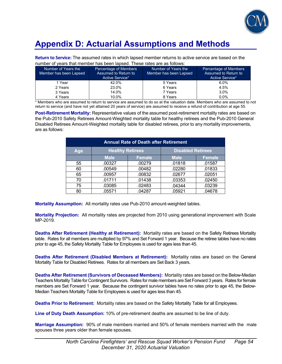

# **Appendix D: Actuarial Assumptions and Methods**

**Return to Service:** The assumed rates in which lapsed member returns to active service are based on the number of years that member has been lapsed. These rates are as follows:

| Number of Years the<br>Member has been Lapsed | Percentage of Members<br>Assumed to Return to<br>Active Service* | Number of Years the<br>Member has been Lapsed | Percentage of Members<br>Assumed to Return to<br>Active Service* |
|-----------------------------------------------|------------------------------------------------------------------|-----------------------------------------------|------------------------------------------------------------------|
| 1 Year                                        | 42.0%                                                            | 5 Years                                       | $6.0\%$                                                          |
| 2 Years                                       | 23.0%                                                            | 6 Years                                       | 4.5%                                                             |
| 3 Years                                       | 14.0%                                                            | 7 Years                                       | 3.0%                                                             |
| 4 Years                                       | 10.0%                                                            | 8 Years                                       | 0.0%                                                             |

\* Members who are assumed to return to service are assumed to do so at the valuation date. Members who are assumed to not return to service (and have not yet attained 20 years of service) are assumed to receive a refund of contribution at age 55.

**Post-Retirement Mortality:** Representative values of the assumed post-retirement mortality rates are based on the Pub-2010 Safety Retirees Amount-Weighted mortality table for healthy retirees and the Pub-2010 General Disabled Retirees Amount-Weighted mortality table for disabled retirees, prior to any mortality improvements, are as follows:

| <b>Annual Rate of Death after Retirement</b> |                         |               |                          |               |  |  |  |
|----------------------------------------------|-------------------------|---------------|--------------------------|---------------|--|--|--|
| <b>Age</b>                                   | <b>Healthy Retirees</b> |               | <b>Disabled Retirees</b> |               |  |  |  |
|                                              | <b>Male</b>             | <b>Female</b> | <b>Male</b>              | <b>Female</b> |  |  |  |
| 55                                           | .00327                  | .00279        | .01818                   | .01587        |  |  |  |
| 60                                           | .00549                  | .00482        | .02280                   | .01833        |  |  |  |
| 65                                           | .00957                  | .00832        | .02677                   | .02051        |  |  |  |
| 70                                           | .01711                  | .01438        | .03353                   | .02450        |  |  |  |
| 75                                           | .03085                  | .02483        | .04344                   | .03239        |  |  |  |
| 80                                           | .05571                  | .04287        | .05921                   | .04678        |  |  |  |

**Mortality Assumption:** All mortality rates use Pub-2010 amount-weighted tables.

**Mortality Projection:** All mortality rates are projected from 2010 using generational improvement with Scale MP-2019.

**Deaths After Retirement (Healthy at Retirement):** Mortality rates are based on the Safety Retirees Mortality table. Rates for all members are multiplied by 97% and Set Forward 1 year. Because the retiree tables have no rates prior to age 45, the Safety Mortality Table for Employees is used for ages less than 45.

**Deaths After Retirement (Disabled Members at Retirement):** Mortality rates are based on the General Mortality Table for Disabled Retirees. Rates for all members are Set Back 3 years.

**Deaths After Retirement (Survivors of Deceased Members):** Mortality rates are based on the Below-Median Teachers Mortality Table for Contingent Survivors. Rates for male members are Set Forward 3 years. Rates for female members are Set Forward 1 year. Because the contingent survivor tables have no rates prior to age 45, the Below-Median Teachers Mortality Table for Employees is used for ages less than 45.

**Deaths Prior to Retirement:** Mortality rates are based on the Safety Mortality Table for all Employees.

**Line of Duty Death Assumption:** 10% of pre-retirement deaths are assumed to be line of duty.

**Marriage Assumption:** 90% of male members married and 50% of female members married with the male spouses three years older than female spouses.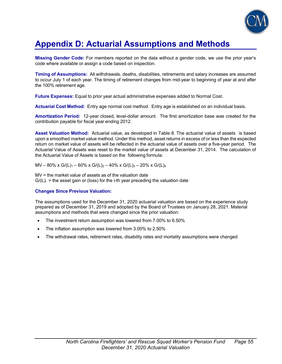

## **Appendix D: Actuarial Assumptions and Methods**

**Missing Gender Code:** For members reported on the data without a gender code, we use the prior year's code where available or assign a code based on inspection.

**Timing of Assumptions:** All withdrawals, deaths, disabilities, retirements and salary increases are assumed to occur July 1 of each year. The timing of retirement changes from mid-year to beginning of year at and after the 100% retirement age.

**Future Expenses:** Equal to prior year actual administrative expenses added to Normal Cost.

**Actuarial Cost Method:** Entry age normal cost method. Entry age is established on an individual basis.

**Amortization Period:** 12-year closed, level-dollar amount. The first amortization base was created for the contribution payable for fiscal year ending 2012.

**Asset Valuation Method:** Actuarial value, as developed in Table 8. The actuarial value of assets is based upon a smoothed market value method. Under this method, asset returns in excess of or less than the expected return on market value of assets will be reflected in the actuarial value of assets over a five-year period. The Actuarial Value of Assets was reset to the market value of assets at December 31, 2014. The calculation of the Actuarial Value of Assets is based on the following formula:

 $MV - 80\% \times G/(L)<sub>1</sub> - 60\% \times G/(L)<sub>2</sub> - 40\% \times G/(L)<sub>3</sub> - 20\% \times G/(L)<sub>4</sub>$ 

MV = the market value of assets as of the valuation date  $G/(L)$  = the asset gain or (loss) for the i-th year preceding the valuation date

#### **Changes Since Previous Valuation:**

The assumptions used for the December 31, 2020 actuarial valuation are based on the experience study prepared as of December 31, 2019 and adopted by the Board of Trustees on January 28, 2021. Material assumptions and methods that were changed since the prior valuation:

- The investment return assumption was lowered from 7.00% to 6.50%
- The inflation assumption was lowered from 3.00% to 2.50%
- The withdrawal rates, retirement rates, disability rates and mortality assumptions were changed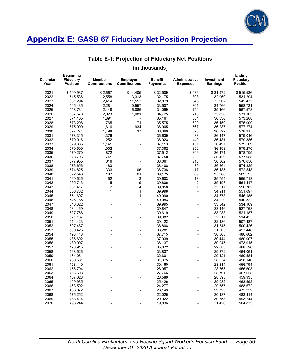

### **Table E-1: Projection of Fiduciary Net Positions**

| Calendar<br>Year | <b>Beginning</b><br><b>Fiduciary</b><br><b>Position</b> | <b>Member</b><br><b>Contributions</b> | <b>Employer</b><br><b>Contributions</b> | <b>Benefit</b><br><b>Payments</b> | Administrative<br><b>Expenses</b> | <b>Investment</b><br><b>Earnings</b> | Ending<br><b>Fiduciary</b><br><b>Position</b> |
|------------------|---------------------------------------------------------|---------------------------------------|-----------------------------------------|-----------------------------------|-----------------------------------|--------------------------------------|-----------------------------------------------|
| 2021             | \$499,937                                               | \$2,667                               | \$14,405                                | \$32,509                          | \$936                             | \$31,972                             | \$515,536                                     |
| 2022             | 515,536                                                 | 2,558                                 | 13,313                                  | 32,175                            | 898                               | 32,960                               | 531,294                                       |
| 2023             | 531,294                                                 | 2,414                                 | 11,553                                  | 32,879                            | 848                               | 33,902                               | 545,435                                       |
| 2024             | 545,435                                                 | 2,281                                 | 10,557                                  | 33,507                            | 801                               | 34,766                               | 558,731                                       |
| 2025             | 558,731                                                 | 2,148                                 | 6,086                                   | 34,099                            | 754                               | 35,466                               | 567,578                                       |
| 2026             | 567,578                                                 | 2,023                                 | 1,081                                   | 34,725                            | 710                               | 35,858                               | 571,105                                       |
| 2027             | 571,105                                                 | 1,891                                 | $\overline{a}$                          | 35,161                            | 664                               | 36,036                               | 573,208                                       |
| 2028             | 573,208                                                 | 1,765                                 | 71                                      | 35,575                            | 620                               | 36,159                               | 575,009                                       |
| 2029             | 575,009                                                 | 1,616                                 | 934                                     | 36,005                            | 567                               | 36,287                               | 577,274                                       |
| 2030             | 577,274                                                 | 1,498                                 | 37                                      | 36,360                            | 526                               | 36,392                               | 578,315                                       |
| 2031             | 578,315                                                 | 1,376                                 | $\overline{a}$                          | 36,639                            | 483                               | 36,447                               | 579,016                                       |
| 2032             | 579,016                                                 | 1,252                                 | $\overline{a}$                          | 36,923                            | 440                               | 36,481                               | 579,386                                       |
| 2033             | 579,386                                                 | 1,141                                 | $\overline{a}$                          | 37,113                            | 401                               | 36,497                               | 579,509                                       |
| 2034             | 579,509                                                 | 1,002                                 | $\overline{a}$                          | 37,382                            | 352                               | 36,493                               | 579,270                                       |
| 2035             |                                                         | 872                                   |                                         |                                   | 306                               |                                      |                                               |
| 2036             | 579,270<br>578,795                                      | 741                                   | $\overline{a}$                          | 37,512<br>37,750                  | 260                               | 36,471<br>36,429                     | 578,795<br>577,955                            |
|                  |                                                         | 616                                   |                                         |                                   |                                   |                                      |                                               |
| 2037             | 577,955                                                 |                                       |                                         | 38,061                            | 216                               | 36,362                               | 576,656                                       |
| 2038             | 576,656                                                 | 483                                   | $\overline{a}$                          | 38,408                            | 170                               | 36,264                               | 574,825                                       |
| 2039             | 574,825                                                 | 333                                   | 106                                     | 38,738                            | 117                               | 36,135                               | 572,543                                       |
| 2040             | 572,543                                                 | 197                                   | 61                                      | 39,175                            | 69                                | 35,968                               | 569,525                                       |
| 2041             | 569,525                                                 | 52                                    | 3                                       | 39,603                            | 18                                | 35,754                               | 565,713                                       |
| 2042             | 565,713                                                 | 5                                     | 9                                       | 39,806                            | $\overline{2}$                    | 35,498                               | 561,417                                       |
| 2043             | 561,417                                                 | $\overline{c}$                        | $\overline{\mathbf{4}}$                 | 39,858                            | $\mathbf{1}$                      | 35,217                               | 556,782                                       |
| 2044             | 556,782                                                 | $\mathbf{1}$                          | $\mathbf{1}$                            | 39,998                            | $\frac{1}{2}$                     | 34,911                               | 551,697                                       |
| 2045             | 551,697                                                 | $\overline{a}$                        | $\mathbf{1}$                            | 40,090                            | $\overline{a}$                    | 34,578                               | 546,185                                       |
| 2046             | 546,185                                                 |                                       | $\overline{a}$                          | 40,083                            |                                   | 34,220                               | 540,322                                       |
| 2047             | 540,322                                                 | $\overline{a}$                        | $\overline{a}$                          | 39,995                            | $\overline{a}$                    | 33,842                               | 534,169                                       |
| 2048             | 534,169                                                 |                                       |                                         | 39,847                            |                                   | 33,446                               | 527,768                                       |
| 2049             | 527,768                                                 |                                       | $\overline{a}$                          | 39,619                            | $\overline{a}$                    | 33,038                               | 521,187                                       |
| 2050             | 521,187                                                 |                                       |                                         | 39,382                            | $\overline{a}$                    | 32,617                               | 514,423                                       |
| 2051             | 514,423                                                 |                                       |                                         | 39,122                            |                                   | 32,186                               | 507,487                                       |
| 2052             | 507,487                                                 |                                       | $\overline{a}$                          | 38,806                            | $\overline{a}$                    | 31,745                               | 500,426                                       |
| 2053             | 500,426                                                 |                                       |                                         | 38,281                            |                                   | 31,303                               | 493,448                                       |
| 2054             | 493,448                                                 |                                       |                                         | 37,715                            | $\overline{a}$                    | 30,868                               | 486,602                                       |
| 2055             | 486,602                                                 |                                       |                                         | 37,039                            | $\overline{a}$                    | 30,444                               | 480,007                                       |
| 2056             | 480,007                                                 |                                       |                                         | 36,137                            |                                   | 30,045                               | 473,915                                       |
| 2057             | 473,915                                                 |                                       |                                         | 35,072                            | $\overline{a}$                    | 29,683                               | 468,526                                       |
| 2058             | 468,526                                                 |                                       |                                         | 33,837                            |                                   | 29,372                               | 464,061                                       |
| 2059             | 464,061                                                 |                                       |                                         | 32,601                            |                                   | 29,121                               | 460,581                                       |
| 2060             | 460,581                                                 |                                       | $\overline{a}$                          | 31,375                            | $\overline{a}$                    | 28,934                               | 458,140                                       |
| 2061             | 458,140                                                 |                                       |                                         | 30,160                            |                                   | 28,814                               | 456,794                                       |
| 2062             | 456,794                                                 |                                       |                                         | 28,957                            |                                   | 28,765                               | 456,603                                       |
| 2063             | 456,603                                                 |                                       | $\overline{a}$                          | 27,766                            | $\overline{a}$                    | 28,791                               | 457,628                                       |
| 2064             | 457,628                                                 |                                       |                                         | 26,589                            |                                   | 28,895                               | 459,935                                       |
| 2065             | 459,935                                                 |                                       | $\overline{a}$                          | 25,426                            | $\overline{a}$                    | 29,082                               | 463,592                                       |
| 2066             | 463,592                                                 |                                       |                                         | 24,277                            |                                   | 29,357                               | 468,672                                       |
| 2067             | 468,672                                                 |                                       |                                         | 23,143                            |                                   | 29,723                               | 475,252                                       |
| 2068             | 475,252                                                 |                                       |                                         | 22,025                            |                                   | 30,187                               | 483,414                                       |
| 2069             | 483,414                                                 |                                       |                                         | 20,922                            |                                   | 30,753                               | 493,244                                       |
| 2070             | 493,244                                                 | $\overline{a}$                        |                                         | 19,836                            | $\overline{a}$                    | 31,426                               | 504,835                                       |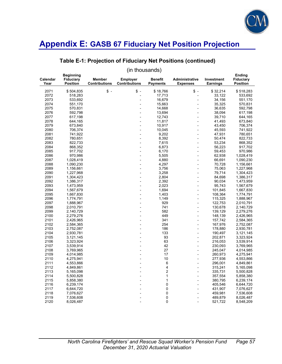

### **Table E-1: Projection of Fiduciary Net Positions (continued)**

| Calendar<br>Year | <b>Beginning</b><br><b>Fiduciary</b><br><b>Position</b> | <b>Member</b><br><b>Contributions</b> | <b>Employer</b><br><b>Contributions</b> | <b>Benefit</b><br><b>Payments</b> | Administrative<br><b>Expenses</b> | Investment<br><b>Earnings</b> | Ending<br><b>Fiduciary</b><br><b>Position</b> |
|------------------|---------------------------------------------------------|---------------------------------------|-----------------------------------------|-----------------------------------|-----------------------------------|-------------------------------|-----------------------------------------------|
| 2071             | \$504,835                                               | $\frac{1}{2}$                         | $\mathsf{\$}$ .                         | \$18,766                          | $\mathsf{\$}$ .                   | \$32,214                      | \$518,283                                     |
| 2072             | 518,283                                                 |                                       | $\overline{a}$                          | 17,713                            | $\overline{a}$                    | 33,122                        | 533,692                                       |
| 2073             | 533,692                                                 |                                       |                                         | 16,679                            | L,                                | 34,156                        | 551,170                                       |
| 2074             | 551,170                                                 |                                       |                                         | 15,663                            |                                   | 35,325                        | 570,831                                       |
| 2075             | 570,831                                                 |                                       |                                         | 14,668                            |                                   | 36,635                        | 592,798                                       |
| 2076             | 592,798                                                 |                                       |                                         | 13,694                            |                                   | 38,094                        | 617,198                                       |
| 2077             | 617,198                                                 |                                       |                                         | 12,743                            |                                   | 39,710                        | 644,165                                       |
| 2078             | 644,165                                                 |                                       |                                         | 11,817                            |                                   | 41,493                        | 673,840                                       |
| 2079             | 673,840                                                 |                                       |                                         | 10,917                            |                                   | 43,450                        | 706,374                                       |
| 2080             | 706,374                                                 |                                       |                                         | 10,045                            | $\overline{a}$                    | 45,593                        | 741,922                                       |
| 2081             | 741,922                                                 |                                       |                                         | 9,202                             | $\overline{a}$                    | 47,931                        | 780,651                                       |
| 2082             | 780,651                                                 |                                       |                                         | 8,392                             |                                   | 50,474                        | 822,733                                       |
| 2083             | 822,733                                                 |                                       |                                         | 7,615                             |                                   | 53,234                        | 868,352                                       |
| 2084             | 868,352                                                 |                                       |                                         | 6,873                             |                                   | 56,223                        | 917,702                                       |
| 2085             | 917,702                                                 |                                       |                                         | 6,170                             | $\overline{a}$                    | 59,453                        | 970,986                                       |
| 2086             | 970,986                                                 |                                       |                                         | 5,505                             | $\overline{a}$                    | 62,938                        | 1,028,419                                     |
| 2087             | 1,028,419                                               |                                       |                                         | 4,880                             |                                   | 66,691                        | 1,090,230                                     |
| 2088             | 1,090,230                                               |                                       |                                         | 4,297                             | $\overline{a}$                    | 70,728                        | 1,156,661                                     |
| 2089             | 1,156,661                                               |                                       |                                         | 3,756                             |                                   | 75,063                        | 1,227,968                                     |
| 2090             | 1,227,968                                               |                                       | $\overline{a}$                          | 3,258                             | $\overline{a}$                    | 79,714                        | 1,304,423                                     |
| 2091             | 1,304,423                                               |                                       |                                         | 2,804                             |                                   | 84,698                        | 1,386,317                                     |
| 2092             | 1,386,317                                               |                                       |                                         | 2,392                             |                                   | 90,034                        | 1,473,959                                     |
| 2093             | 1,473,959                                               |                                       |                                         | 2,023                             | $\overline{a}$                    | 95,743                        | 1,567,679                                     |
| 2094             | 1,567,679                                               |                                       |                                         | 1,694                             |                                   | 101,845                       | 1,667,830                                     |
| 2095             | 1,667,830                                               |                                       |                                         | 1,403                             | L                                 | 108,364                       | 1,774,791                                     |
| 2096             | 1,774,791                                               |                                       |                                         | 1,149                             |                                   | 115,325                       | 1,888,967                                     |
| 2097             | 1,888,967                                               |                                       |                                         | 929                               |                                   | 122,753                       | 2,010,791                                     |
| 2098             | 2,010,791                                               |                                       |                                         | 741                               | $\overline{a}$                    | 130,678                       | 2,140,729                                     |
| 2099             | 2,140,729                                               |                                       |                                         | 582                               |                                   | 139,129                       | 2,279,276                                     |
| 2100             | 2,279,276                                               |                                       |                                         | 449                               | L                                 | 148,139                       | 2,426,965                                     |
| 2101             | 2,426,965                                               |                                       |                                         | 341                               |                                   | 157,742                       | 2,584,365                                     |
| 2102             | 2,584,365                                               |                                       |                                         | 254                               |                                   | 167,976                       | 2,752,087                                     |
| 2103             | 2,752,087                                               |                                       |                                         | 186                               | L,                                | 178,880                       | 2,930,781                                     |
| 2104             | 2,930,781                                               |                                       |                                         | 133                               |                                   | 190,497                       | 3,121,145                                     |
| 2105             | 3,121,145                                               |                                       |                                         | 93                                | $\overline{a}$                    | 202,871                       | 3,323,924                                     |
| 2106             | 3,323,924                                               |                                       |                                         | 63                                |                                   | 216,053                       | 3,539,914                                     |
| 2107             | 3,539,914                                               |                                       |                                         | 42                                |                                   | 230,093                       | 3,769,965                                     |
| 2108             | 3,769,965                                               |                                       |                                         | 27                                | L,                                | 245,047                       | 4,014,985                                     |
| 2109             | 4,014,985                                               |                                       |                                         | 17                                |                                   | 260,973                       | 4,275,941                                     |
| 2110             | 4,275,941                                               |                                       |                                         | 10                                | $\overline{a}$                    | 277,936                       | 4,553,866                                     |
| 2111             | 4,553,866                                               |                                       |                                         | 6                                 |                                   | 296,001                       | 4,849,861                                     |
| 2112             | 4,849,861                                               |                                       |                                         | 4                                 |                                   | 315,241                       | 5,165,098                                     |
| 2113             | 5,165,098                                               |                                       |                                         | 2                                 | $\overline{a}$                    | 335,731                       | 5,500,828                                     |
| 2114             | 5,500,828                                               |                                       |                                         | 1                                 |                                   | 357,554                       | 5,858,380                                     |
| 2115             | 5,858,380                                               |                                       |                                         | $\mathbf{1}$                      | $\overline{a}$                    | 380,795                       | 6,239,174                                     |
| 2116             | 6,239,174                                               |                                       |                                         | $\pmb{0}$                         |                                   | 405,546                       | 6,644,720                                     |
| 2117             | 6,644,720                                               |                                       |                                         | 0                                 |                                   | 431,907                       | 7,076,627                                     |
| 2118             | 7,076,627                                               |                                       |                                         | 0                                 |                                   | 459,981                       | 7,536,608                                     |
| 2119             | 7,536,608                                               |                                       |                                         | 0                                 |                                   | 489,879                       | 8,026,487                                     |
| 2120             | 8,026,487                                               |                                       |                                         | $\overline{0}$                    |                                   | 521,722                       | 8,548,209                                     |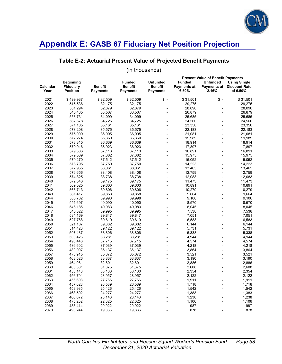

### **Table E-2: Actuarial Present Value of Projected Benefit Payments**

|                  |                                                         |                                   |                                                    |                                                      | <b>Present Value of Benefit Payments</b> |                          |                                                                     |
|------------------|---------------------------------------------------------|-----------------------------------|----------------------------------------------------|------------------------------------------------------|------------------------------------------|--------------------------|---------------------------------------------------------------------|
| Calendar<br>Year | <b>Beginning</b><br><b>Fiduciary</b><br><b>Position</b> | <b>Benefit</b><br><b>Payments</b> | <b>Funded</b><br><b>Benefit</b><br><b>Payments</b> | <b>Unfunded</b><br><b>Benefit</b><br><b>Payments</b> | <b>Funded</b><br>Payments at<br>6.50%    | <b>Unfunded</b><br>2.16% | <b>Using Single</b><br><b>Payments at Discount Rate</b><br>of 6.50% |
|                  |                                                         |                                   |                                                    |                                                      |                                          |                          |                                                                     |
| 2021             | \$499,937                                               | \$32,509                          | \$32,509                                           | $s -$                                                | \$31,501                                 | $s -$                    | \$31,501                                                            |
| 2022             | 515,536                                                 | 32,175                            | 32,175                                             | $\overline{a}$                                       | 29,275                                   | $\blacksquare$           | 29,275                                                              |
| 2023             | 531,294                                                 | 32,879                            | 32,879                                             |                                                      | 28.090                                   | $\blacksquare$           | 28,090                                                              |
| 2024             | 545,435                                                 | 33,507                            | 33,507                                             |                                                      | 26,879                                   | $\blacksquare$           | 26,879                                                              |
| 2025             | 558,731                                                 | 34,099                            | 34,099                                             |                                                      | 25,685                                   |                          | 25,685                                                              |
| 2026             | 567,578                                                 | 34,725                            | 34,725                                             |                                                      | 24,560                                   | $\overline{\phantom{a}}$ | 24,560                                                              |
| 2027             | 571,105                                                 | 35,161                            | 35,161                                             |                                                      | 23,350                                   | $\blacksquare$           | 23,350                                                              |
| 2028             | 573,208                                                 | 35,575                            | 35,575                                             |                                                      | 22,183                                   |                          | 22,183                                                              |
| 2029             | 575,009                                                 | 36,005                            | 36,005                                             | $\overline{a}$                                       | 21,081                                   | $\overline{a}$           | 21,081                                                              |
| 2030             | 577,274                                                 | 36,360                            | 36,360                                             |                                                      | 19,989                                   |                          | 19,989                                                              |
| 2031             | 578,315                                                 | 36,639                            | 36,639                                             |                                                      | 18,914                                   | $\overline{a}$           | 18,914                                                              |
| 2032             | 579,016                                                 | 36,923                            | 36,923                                             |                                                      | 17,897                                   | $\overline{a}$           | 17,897                                                              |
| 2033             | 579,386                                                 | 37,113                            | 37,113                                             |                                                      | 16,891                                   |                          | 16,891                                                              |
| 2034             | 579,509                                                 | 37,382                            | 37,382                                             |                                                      | 15,975                                   | $\blacksquare$           | 15,975                                                              |
| 2035             | 579,270                                                 | 37,512                            | 37,512                                             |                                                      | 15,052                                   | $\blacksquare$           | 15,052                                                              |
| 2036             | 578.795                                                 | 37.750                            | 37.750                                             |                                                      | 14,223                                   |                          | 14,223                                                              |
| 2037             | 577,955                                                 | 38,061                            | 38,061                                             |                                                      | 13,465                                   | $\overline{a}$           | 13,465                                                              |
| 2038             | 576,656                                                 | 38,408                            | 38,408                                             |                                                      | 12,759                                   | $\blacksquare$           | 12,759                                                              |
| 2039             | 574,825                                                 | 38,738                            | 38,738                                             |                                                      | 12,083                                   | $\blacksquare$           | 12,083                                                              |
| 2040             | 572,543                                                 | 39,175                            | 39,175                                             | $\overline{a}$                                       | 11,473                                   | $\overline{a}$           | 11,473                                                              |
| 2041             | 569,525                                                 | 39,603                            | 39,603                                             |                                                      | 10,891                                   |                          | 10,891                                                              |
| 2042             | 565,713                                                 | 39,806                            | 39,806                                             |                                                      | 10,279                                   | $\overline{a}$           | 10,279                                                              |
| 2043             | 561,417                                                 | 39,858                            | 39,858                                             |                                                      | 9,664                                    |                          | 9,664                                                               |
| 2044             | 556,782                                                 | 39,998                            | 39,998                                             |                                                      | 9,106                                    | $\overline{a}$           | 9,106                                                               |
| 2045             | 551,697                                                 | 40,090                            | 40,090                                             |                                                      | 8,570                                    |                          | 8,570                                                               |
| 2046             | 546,185                                                 | 40,083                            | 40,083                                             |                                                      | 8,045                                    | $\overline{a}$           | 8,045                                                               |
| 2047             | 540,322                                                 | 39,995                            | 39.995                                             |                                                      | 7,538                                    |                          | 7,538                                                               |
| 2048             | 534,169                                                 | 39,847                            | 39,847                                             |                                                      | 7,051                                    | $\overline{a}$           | 7,051                                                               |
| 2049             | 527,768                                                 | 39,619                            | 39,619                                             |                                                      | 6,583                                    | $\overline{a}$           | 6,583                                                               |
| 2050             | 521,187                                                 | 39,382                            | 39,382                                             |                                                      | 6,144                                    |                          | 6,144                                                               |
| 2051             | 514,423                                                 | 39,122                            | 39,122                                             |                                                      | 5,731                                    | $\overline{a}$           | 5,731                                                               |
| 2052             | 507,487                                                 | 38,806                            | 38,806                                             |                                                      | 5,338                                    |                          | 5,338                                                               |
| 2053             | 500,426                                                 | 38,281                            | 38,281                                             |                                                      | 4,944                                    | $\overline{a}$           | 4,944                                                               |
| 2054             | 493,448                                                 | 37,715                            | 37,715                                             |                                                      | 4,574                                    | $\overline{a}$           | 4,574                                                               |
| 2055             | 486,602                                                 | 37,039                            | 37,039                                             |                                                      | 4,218                                    | $\overline{a}$           | 4,218                                                               |
| 2056             | 480,007                                                 | 36,137                            | 36,137                                             |                                                      | 3,864                                    |                          | 3,864                                                               |
| 2057             | 473,915                                                 | 35,072                            | 35,072                                             |                                                      | 3,521                                    | $\overline{a}$           | 3,521                                                               |
| 2058             | 468,526                                                 | 33,837                            | 33,837                                             |                                                      | 3,190                                    |                          | 3,190                                                               |
| 2059             | 464,061                                                 | 32,601                            | 32,601                                             |                                                      | 2,886                                    | $\overline{a}$           | 2,886                                                               |
| 2060             | 460,581                                                 | 31,375                            | 31,375                                             |                                                      | 2,608                                    |                          | 2,608                                                               |
| 2061             | 458,140                                                 | 30,160                            | 30,160                                             |                                                      | 2,354                                    | $\overline{\phantom{a}}$ | 2,354                                                               |
| 2062             | 456,794                                                 | 28,957                            | 28,957                                             |                                                      | 2,122                                    |                          | 2,122                                                               |
| 2063             | 456,603                                                 | 27,766                            | 27,766                                             |                                                      | 1,911                                    |                          | 1,911                                                               |
| 2064             | 457,628                                                 | 26,589                            | 26,589                                             |                                                      | 1,718                                    | ÷,                       | 1,718                                                               |
| 2065             | 459,935                                                 | 25,426                            | 25,426                                             |                                                      | 1,542                                    | L,                       | 1,542                                                               |
| 2066             | 463,592                                                 | 24,277                            | 24,277                                             |                                                      | 1,383                                    |                          | 1,383                                                               |
| 2067             | 468,672                                                 | 23,143                            | 23,143                                             |                                                      | 1,238                                    |                          | 1,238                                                               |
| 2068             | 475,252                                                 | 22,025                            | 22,025                                             |                                                      | 1,106                                    | $\overline{a}$           | 1,106                                                               |
| 2069             | 483,414                                                 | 20,922                            | 20,922                                             |                                                      | 987                                      |                          | 987                                                                 |
| 2070             | 493,244                                                 | 19,836                            | 19,836                                             |                                                      | 878                                      |                          | 878                                                                 |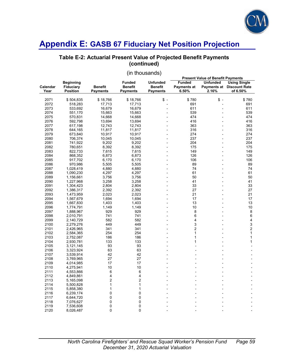

### **Table E-2: Actuarial Present Value of Projected Benefit Payments (continued)**

| <b>Beginning</b><br><b>Unfunded</b><br><b>Funded</b><br><b>Unfunded</b><br><b>Using Single</b><br><b>Funded</b><br>Calendar<br><b>Fiduciary</b><br><b>Benefit</b><br><b>Benefit</b><br>Benefit<br>Payments at<br><b>Payments at Discount Rate</b><br><b>Position</b><br><b>Payments</b><br><b>Payments</b><br>6.50%<br>2.16%<br>of 6.50%<br>Year<br><b>Payments</b><br>$$ -$<br>$$ -$<br>2071<br>\$18,766<br>\$18,766<br>\$780<br>\$780<br>\$504,835<br>691<br>2072<br>17,713<br>17,713<br>691<br>518,283<br>2073<br>16,679<br>16,679<br>611<br>611<br>533,692<br>$\overline{a}$<br>÷,<br>2074<br>15,663<br>539<br>539<br>551,170<br>15,663<br>2075<br>474<br>474<br>570,831<br>14,668<br>14,668<br>$\overline{a}$<br>2076<br>416<br>592,798<br>13,694<br>13,694<br>416<br>2077<br>12,743<br>12,743<br>363<br>363<br>617,198<br>2078<br>316<br>11,817<br>11,817<br>316<br>644,165<br>÷,<br>2079<br>274<br>274<br>673,840<br>10,917<br>10,917<br>2080<br>10,045<br>10,045<br>237<br>237<br>706,374<br>204<br>2081<br>9,202<br>9,202<br>204<br>741,922<br>2082<br>780,651<br>8,392<br>8,392<br>175<br>175<br>$\overline{a}$<br>2083<br>7,615<br>149<br>7,615<br>149<br>822,733<br>2084<br>6,873<br>126<br>868,352<br>6,873<br>126<br>$\overline{a}$<br>106<br>106<br>2085<br>6,170<br>6,170<br>917,702<br>2086<br>5,505<br>5,505<br>89<br>89<br>970,986<br>$\overline{a}$<br>74<br>2087<br>4,880<br>4,880<br>74<br>1,028,419<br>61<br>2088<br>4,297<br>4,297<br>61<br>1,090,230<br>2089<br>50<br>50<br>3,756<br>3,756<br>1,156,661<br>41<br>41<br>2090<br>3,258<br>3,258<br>1,227,968<br>2091<br>33<br>33<br>1,304,423<br>2,804<br>2,804<br>27<br>27<br>2092<br>2,392<br>2,392<br>1,386,317<br>2093<br>2,023<br>2,023<br>21<br>21<br>1,473,959<br>17<br>17<br>2094<br>1,694<br>1,694<br>1,567,679<br>13<br>13<br>2095<br>1,403<br>1,403<br>1,667,830<br>$\overline{a}$<br>10<br>10<br>2096<br>1,149<br>1,149<br>1,774,791<br>8<br>2097<br>929<br>8<br>929<br>1,888,967<br>6<br>2098<br>741<br>741<br>6<br>2,010,791<br>4<br>4<br>582<br>582<br>2099<br>2,140,729<br>449<br>3<br>3<br>2100<br>449<br>2,279,276<br>$\mathbf 2$<br>$\overline{\mathbf{c}}$<br>2101<br>341<br>341<br>2,426,965<br>$\mathbf{1}$<br>$\mathbf{1}$<br>2102<br>254<br>254<br>2,584,365<br>$\mathbf{1}$<br>1<br>2103<br>186<br>186<br>2,752,087<br>2104<br>133<br>133<br>1<br>2,930,781<br>1<br>2105<br>93<br>93<br>3,121,145<br>2106<br>63<br>63<br>3,323,924<br>2107<br>42<br>42<br>3,539,914<br>27<br>27<br>2108<br>3,769,965<br>2109<br>17<br>17<br>4,014,985<br>10<br>10<br>2110<br>4,275,941<br>6<br>6<br>2111<br>4,553,866<br>$\overline{4}$<br>4<br>2112<br>4,849,861<br>2<br>$\overline{2}$<br>2113<br>5,165,098<br>$\mathbf{1}$<br>1<br>2114<br>5,500,828<br>1<br>2115<br>1<br>5,858,380<br>0<br>0<br>2116<br>6,239,174<br>0<br>0<br>2117<br>6,644,720<br>0<br>0<br>2118<br>7,076,627<br>0<br>$\mathbf 0$<br>2119<br>7,536,608<br>$\mathbf{0}$<br>$\mathbf{0}$<br>2120<br>8,026,487 |  |  |  |  | <b>Present Value of Benefit Payments</b> |  |  |  |
|-------------------------------------------------------------------------------------------------------------------------------------------------------------------------------------------------------------------------------------------------------------------------------------------------------------------------------------------------------------------------------------------------------------------------------------------------------------------------------------------------------------------------------------------------------------------------------------------------------------------------------------------------------------------------------------------------------------------------------------------------------------------------------------------------------------------------------------------------------------------------------------------------------------------------------------------------------------------------------------------------------------------------------------------------------------------------------------------------------------------------------------------------------------------------------------------------------------------------------------------------------------------------------------------------------------------------------------------------------------------------------------------------------------------------------------------------------------------------------------------------------------------------------------------------------------------------------------------------------------------------------------------------------------------------------------------------------------------------------------------------------------------------------------------------------------------------------------------------------------------------------------------------------------------------------------------------------------------------------------------------------------------------------------------------------------------------------------------------------------------------------------------------------------------------------------------------------------------------------------------------------------------------------------------------------------------------------------------------------------------------------------------------------------------------------------------------------------------------------------------------------------------------------------------------------------------------------------------------------------------------------------------------------------------------------------------------------------------------------------------------------------------------------------------------------------------------------------------------------------------------------------------------------------------------------------------------------------------|--|--|--|--|------------------------------------------|--|--|--|
|                                                                                                                                                                                                                                                                                                                                                                                                                                                                                                                                                                                                                                                                                                                                                                                                                                                                                                                                                                                                                                                                                                                                                                                                                                                                                                                                                                                                                                                                                                                                                                                                                                                                                                                                                                                                                                                                                                                                                                                                                                                                                                                                                                                                                                                                                                                                                                                                                                                                                                                                                                                                                                                                                                                                                                                                                                                                                                                                                                   |  |  |  |  |                                          |  |  |  |
|                                                                                                                                                                                                                                                                                                                                                                                                                                                                                                                                                                                                                                                                                                                                                                                                                                                                                                                                                                                                                                                                                                                                                                                                                                                                                                                                                                                                                                                                                                                                                                                                                                                                                                                                                                                                                                                                                                                                                                                                                                                                                                                                                                                                                                                                                                                                                                                                                                                                                                                                                                                                                                                                                                                                                                                                                                                                                                                                                                   |  |  |  |  |                                          |  |  |  |
|                                                                                                                                                                                                                                                                                                                                                                                                                                                                                                                                                                                                                                                                                                                                                                                                                                                                                                                                                                                                                                                                                                                                                                                                                                                                                                                                                                                                                                                                                                                                                                                                                                                                                                                                                                                                                                                                                                                                                                                                                                                                                                                                                                                                                                                                                                                                                                                                                                                                                                                                                                                                                                                                                                                                                                                                                                                                                                                                                                   |  |  |  |  |                                          |  |  |  |
|                                                                                                                                                                                                                                                                                                                                                                                                                                                                                                                                                                                                                                                                                                                                                                                                                                                                                                                                                                                                                                                                                                                                                                                                                                                                                                                                                                                                                                                                                                                                                                                                                                                                                                                                                                                                                                                                                                                                                                                                                                                                                                                                                                                                                                                                                                                                                                                                                                                                                                                                                                                                                                                                                                                                                                                                                                                                                                                                                                   |  |  |  |  |                                          |  |  |  |
|                                                                                                                                                                                                                                                                                                                                                                                                                                                                                                                                                                                                                                                                                                                                                                                                                                                                                                                                                                                                                                                                                                                                                                                                                                                                                                                                                                                                                                                                                                                                                                                                                                                                                                                                                                                                                                                                                                                                                                                                                                                                                                                                                                                                                                                                                                                                                                                                                                                                                                                                                                                                                                                                                                                                                                                                                                                                                                                                                                   |  |  |  |  |                                          |  |  |  |
|                                                                                                                                                                                                                                                                                                                                                                                                                                                                                                                                                                                                                                                                                                                                                                                                                                                                                                                                                                                                                                                                                                                                                                                                                                                                                                                                                                                                                                                                                                                                                                                                                                                                                                                                                                                                                                                                                                                                                                                                                                                                                                                                                                                                                                                                                                                                                                                                                                                                                                                                                                                                                                                                                                                                                                                                                                                                                                                                                                   |  |  |  |  |                                          |  |  |  |
|                                                                                                                                                                                                                                                                                                                                                                                                                                                                                                                                                                                                                                                                                                                                                                                                                                                                                                                                                                                                                                                                                                                                                                                                                                                                                                                                                                                                                                                                                                                                                                                                                                                                                                                                                                                                                                                                                                                                                                                                                                                                                                                                                                                                                                                                                                                                                                                                                                                                                                                                                                                                                                                                                                                                                                                                                                                                                                                                                                   |  |  |  |  |                                          |  |  |  |
|                                                                                                                                                                                                                                                                                                                                                                                                                                                                                                                                                                                                                                                                                                                                                                                                                                                                                                                                                                                                                                                                                                                                                                                                                                                                                                                                                                                                                                                                                                                                                                                                                                                                                                                                                                                                                                                                                                                                                                                                                                                                                                                                                                                                                                                                                                                                                                                                                                                                                                                                                                                                                                                                                                                                                                                                                                                                                                                                                                   |  |  |  |  |                                          |  |  |  |
|                                                                                                                                                                                                                                                                                                                                                                                                                                                                                                                                                                                                                                                                                                                                                                                                                                                                                                                                                                                                                                                                                                                                                                                                                                                                                                                                                                                                                                                                                                                                                                                                                                                                                                                                                                                                                                                                                                                                                                                                                                                                                                                                                                                                                                                                                                                                                                                                                                                                                                                                                                                                                                                                                                                                                                                                                                                                                                                                                                   |  |  |  |  |                                          |  |  |  |
|                                                                                                                                                                                                                                                                                                                                                                                                                                                                                                                                                                                                                                                                                                                                                                                                                                                                                                                                                                                                                                                                                                                                                                                                                                                                                                                                                                                                                                                                                                                                                                                                                                                                                                                                                                                                                                                                                                                                                                                                                                                                                                                                                                                                                                                                                                                                                                                                                                                                                                                                                                                                                                                                                                                                                                                                                                                                                                                                                                   |  |  |  |  |                                          |  |  |  |
|                                                                                                                                                                                                                                                                                                                                                                                                                                                                                                                                                                                                                                                                                                                                                                                                                                                                                                                                                                                                                                                                                                                                                                                                                                                                                                                                                                                                                                                                                                                                                                                                                                                                                                                                                                                                                                                                                                                                                                                                                                                                                                                                                                                                                                                                                                                                                                                                                                                                                                                                                                                                                                                                                                                                                                                                                                                                                                                                                                   |  |  |  |  |                                          |  |  |  |
|                                                                                                                                                                                                                                                                                                                                                                                                                                                                                                                                                                                                                                                                                                                                                                                                                                                                                                                                                                                                                                                                                                                                                                                                                                                                                                                                                                                                                                                                                                                                                                                                                                                                                                                                                                                                                                                                                                                                                                                                                                                                                                                                                                                                                                                                                                                                                                                                                                                                                                                                                                                                                                                                                                                                                                                                                                                                                                                                                                   |  |  |  |  |                                          |  |  |  |
|                                                                                                                                                                                                                                                                                                                                                                                                                                                                                                                                                                                                                                                                                                                                                                                                                                                                                                                                                                                                                                                                                                                                                                                                                                                                                                                                                                                                                                                                                                                                                                                                                                                                                                                                                                                                                                                                                                                                                                                                                                                                                                                                                                                                                                                                                                                                                                                                                                                                                                                                                                                                                                                                                                                                                                                                                                                                                                                                                                   |  |  |  |  |                                          |  |  |  |
|                                                                                                                                                                                                                                                                                                                                                                                                                                                                                                                                                                                                                                                                                                                                                                                                                                                                                                                                                                                                                                                                                                                                                                                                                                                                                                                                                                                                                                                                                                                                                                                                                                                                                                                                                                                                                                                                                                                                                                                                                                                                                                                                                                                                                                                                                                                                                                                                                                                                                                                                                                                                                                                                                                                                                                                                                                                                                                                                                                   |  |  |  |  |                                          |  |  |  |
|                                                                                                                                                                                                                                                                                                                                                                                                                                                                                                                                                                                                                                                                                                                                                                                                                                                                                                                                                                                                                                                                                                                                                                                                                                                                                                                                                                                                                                                                                                                                                                                                                                                                                                                                                                                                                                                                                                                                                                                                                                                                                                                                                                                                                                                                                                                                                                                                                                                                                                                                                                                                                                                                                                                                                                                                                                                                                                                                                                   |  |  |  |  |                                          |  |  |  |
|                                                                                                                                                                                                                                                                                                                                                                                                                                                                                                                                                                                                                                                                                                                                                                                                                                                                                                                                                                                                                                                                                                                                                                                                                                                                                                                                                                                                                                                                                                                                                                                                                                                                                                                                                                                                                                                                                                                                                                                                                                                                                                                                                                                                                                                                                                                                                                                                                                                                                                                                                                                                                                                                                                                                                                                                                                                                                                                                                                   |  |  |  |  |                                          |  |  |  |
|                                                                                                                                                                                                                                                                                                                                                                                                                                                                                                                                                                                                                                                                                                                                                                                                                                                                                                                                                                                                                                                                                                                                                                                                                                                                                                                                                                                                                                                                                                                                                                                                                                                                                                                                                                                                                                                                                                                                                                                                                                                                                                                                                                                                                                                                                                                                                                                                                                                                                                                                                                                                                                                                                                                                                                                                                                                                                                                                                                   |  |  |  |  |                                          |  |  |  |
|                                                                                                                                                                                                                                                                                                                                                                                                                                                                                                                                                                                                                                                                                                                                                                                                                                                                                                                                                                                                                                                                                                                                                                                                                                                                                                                                                                                                                                                                                                                                                                                                                                                                                                                                                                                                                                                                                                                                                                                                                                                                                                                                                                                                                                                                                                                                                                                                                                                                                                                                                                                                                                                                                                                                                                                                                                                                                                                                                                   |  |  |  |  |                                          |  |  |  |
|                                                                                                                                                                                                                                                                                                                                                                                                                                                                                                                                                                                                                                                                                                                                                                                                                                                                                                                                                                                                                                                                                                                                                                                                                                                                                                                                                                                                                                                                                                                                                                                                                                                                                                                                                                                                                                                                                                                                                                                                                                                                                                                                                                                                                                                                                                                                                                                                                                                                                                                                                                                                                                                                                                                                                                                                                                                                                                                                                                   |  |  |  |  |                                          |  |  |  |
|                                                                                                                                                                                                                                                                                                                                                                                                                                                                                                                                                                                                                                                                                                                                                                                                                                                                                                                                                                                                                                                                                                                                                                                                                                                                                                                                                                                                                                                                                                                                                                                                                                                                                                                                                                                                                                                                                                                                                                                                                                                                                                                                                                                                                                                                                                                                                                                                                                                                                                                                                                                                                                                                                                                                                                                                                                                                                                                                                                   |  |  |  |  |                                          |  |  |  |
|                                                                                                                                                                                                                                                                                                                                                                                                                                                                                                                                                                                                                                                                                                                                                                                                                                                                                                                                                                                                                                                                                                                                                                                                                                                                                                                                                                                                                                                                                                                                                                                                                                                                                                                                                                                                                                                                                                                                                                                                                                                                                                                                                                                                                                                                                                                                                                                                                                                                                                                                                                                                                                                                                                                                                                                                                                                                                                                                                                   |  |  |  |  |                                          |  |  |  |
|                                                                                                                                                                                                                                                                                                                                                                                                                                                                                                                                                                                                                                                                                                                                                                                                                                                                                                                                                                                                                                                                                                                                                                                                                                                                                                                                                                                                                                                                                                                                                                                                                                                                                                                                                                                                                                                                                                                                                                                                                                                                                                                                                                                                                                                                                                                                                                                                                                                                                                                                                                                                                                                                                                                                                                                                                                                                                                                                                                   |  |  |  |  |                                          |  |  |  |
|                                                                                                                                                                                                                                                                                                                                                                                                                                                                                                                                                                                                                                                                                                                                                                                                                                                                                                                                                                                                                                                                                                                                                                                                                                                                                                                                                                                                                                                                                                                                                                                                                                                                                                                                                                                                                                                                                                                                                                                                                                                                                                                                                                                                                                                                                                                                                                                                                                                                                                                                                                                                                                                                                                                                                                                                                                                                                                                                                                   |  |  |  |  |                                          |  |  |  |
|                                                                                                                                                                                                                                                                                                                                                                                                                                                                                                                                                                                                                                                                                                                                                                                                                                                                                                                                                                                                                                                                                                                                                                                                                                                                                                                                                                                                                                                                                                                                                                                                                                                                                                                                                                                                                                                                                                                                                                                                                                                                                                                                                                                                                                                                                                                                                                                                                                                                                                                                                                                                                                                                                                                                                                                                                                                                                                                                                                   |  |  |  |  |                                          |  |  |  |
|                                                                                                                                                                                                                                                                                                                                                                                                                                                                                                                                                                                                                                                                                                                                                                                                                                                                                                                                                                                                                                                                                                                                                                                                                                                                                                                                                                                                                                                                                                                                                                                                                                                                                                                                                                                                                                                                                                                                                                                                                                                                                                                                                                                                                                                                                                                                                                                                                                                                                                                                                                                                                                                                                                                                                                                                                                                                                                                                                                   |  |  |  |  |                                          |  |  |  |
|                                                                                                                                                                                                                                                                                                                                                                                                                                                                                                                                                                                                                                                                                                                                                                                                                                                                                                                                                                                                                                                                                                                                                                                                                                                                                                                                                                                                                                                                                                                                                                                                                                                                                                                                                                                                                                                                                                                                                                                                                                                                                                                                                                                                                                                                                                                                                                                                                                                                                                                                                                                                                                                                                                                                                                                                                                                                                                                                                                   |  |  |  |  |                                          |  |  |  |
|                                                                                                                                                                                                                                                                                                                                                                                                                                                                                                                                                                                                                                                                                                                                                                                                                                                                                                                                                                                                                                                                                                                                                                                                                                                                                                                                                                                                                                                                                                                                                                                                                                                                                                                                                                                                                                                                                                                                                                                                                                                                                                                                                                                                                                                                                                                                                                                                                                                                                                                                                                                                                                                                                                                                                                                                                                                                                                                                                                   |  |  |  |  |                                          |  |  |  |
|                                                                                                                                                                                                                                                                                                                                                                                                                                                                                                                                                                                                                                                                                                                                                                                                                                                                                                                                                                                                                                                                                                                                                                                                                                                                                                                                                                                                                                                                                                                                                                                                                                                                                                                                                                                                                                                                                                                                                                                                                                                                                                                                                                                                                                                                                                                                                                                                                                                                                                                                                                                                                                                                                                                                                                                                                                                                                                                                                                   |  |  |  |  |                                          |  |  |  |
|                                                                                                                                                                                                                                                                                                                                                                                                                                                                                                                                                                                                                                                                                                                                                                                                                                                                                                                                                                                                                                                                                                                                                                                                                                                                                                                                                                                                                                                                                                                                                                                                                                                                                                                                                                                                                                                                                                                                                                                                                                                                                                                                                                                                                                                                                                                                                                                                                                                                                                                                                                                                                                                                                                                                                                                                                                                                                                                                                                   |  |  |  |  |                                          |  |  |  |
|                                                                                                                                                                                                                                                                                                                                                                                                                                                                                                                                                                                                                                                                                                                                                                                                                                                                                                                                                                                                                                                                                                                                                                                                                                                                                                                                                                                                                                                                                                                                                                                                                                                                                                                                                                                                                                                                                                                                                                                                                                                                                                                                                                                                                                                                                                                                                                                                                                                                                                                                                                                                                                                                                                                                                                                                                                                                                                                                                                   |  |  |  |  |                                          |  |  |  |
|                                                                                                                                                                                                                                                                                                                                                                                                                                                                                                                                                                                                                                                                                                                                                                                                                                                                                                                                                                                                                                                                                                                                                                                                                                                                                                                                                                                                                                                                                                                                                                                                                                                                                                                                                                                                                                                                                                                                                                                                                                                                                                                                                                                                                                                                                                                                                                                                                                                                                                                                                                                                                                                                                                                                                                                                                                                                                                                                                                   |  |  |  |  |                                          |  |  |  |
|                                                                                                                                                                                                                                                                                                                                                                                                                                                                                                                                                                                                                                                                                                                                                                                                                                                                                                                                                                                                                                                                                                                                                                                                                                                                                                                                                                                                                                                                                                                                                                                                                                                                                                                                                                                                                                                                                                                                                                                                                                                                                                                                                                                                                                                                                                                                                                                                                                                                                                                                                                                                                                                                                                                                                                                                                                                                                                                                                                   |  |  |  |  |                                          |  |  |  |
|                                                                                                                                                                                                                                                                                                                                                                                                                                                                                                                                                                                                                                                                                                                                                                                                                                                                                                                                                                                                                                                                                                                                                                                                                                                                                                                                                                                                                                                                                                                                                                                                                                                                                                                                                                                                                                                                                                                                                                                                                                                                                                                                                                                                                                                                                                                                                                                                                                                                                                                                                                                                                                                                                                                                                                                                                                                                                                                                                                   |  |  |  |  |                                          |  |  |  |
|                                                                                                                                                                                                                                                                                                                                                                                                                                                                                                                                                                                                                                                                                                                                                                                                                                                                                                                                                                                                                                                                                                                                                                                                                                                                                                                                                                                                                                                                                                                                                                                                                                                                                                                                                                                                                                                                                                                                                                                                                                                                                                                                                                                                                                                                                                                                                                                                                                                                                                                                                                                                                                                                                                                                                                                                                                                                                                                                                                   |  |  |  |  |                                          |  |  |  |
|                                                                                                                                                                                                                                                                                                                                                                                                                                                                                                                                                                                                                                                                                                                                                                                                                                                                                                                                                                                                                                                                                                                                                                                                                                                                                                                                                                                                                                                                                                                                                                                                                                                                                                                                                                                                                                                                                                                                                                                                                                                                                                                                                                                                                                                                                                                                                                                                                                                                                                                                                                                                                                                                                                                                                                                                                                                                                                                                                                   |  |  |  |  |                                          |  |  |  |
|                                                                                                                                                                                                                                                                                                                                                                                                                                                                                                                                                                                                                                                                                                                                                                                                                                                                                                                                                                                                                                                                                                                                                                                                                                                                                                                                                                                                                                                                                                                                                                                                                                                                                                                                                                                                                                                                                                                                                                                                                                                                                                                                                                                                                                                                                                                                                                                                                                                                                                                                                                                                                                                                                                                                                                                                                                                                                                                                                                   |  |  |  |  |                                          |  |  |  |
|                                                                                                                                                                                                                                                                                                                                                                                                                                                                                                                                                                                                                                                                                                                                                                                                                                                                                                                                                                                                                                                                                                                                                                                                                                                                                                                                                                                                                                                                                                                                                                                                                                                                                                                                                                                                                                                                                                                                                                                                                                                                                                                                                                                                                                                                                                                                                                                                                                                                                                                                                                                                                                                                                                                                                                                                                                                                                                                                                                   |  |  |  |  |                                          |  |  |  |
|                                                                                                                                                                                                                                                                                                                                                                                                                                                                                                                                                                                                                                                                                                                                                                                                                                                                                                                                                                                                                                                                                                                                                                                                                                                                                                                                                                                                                                                                                                                                                                                                                                                                                                                                                                                                                                                                                                                                                                                                                                                                                                                                                                                                                                                                                                                                                                                                                                                                                                                                                                                                                                                                                                                                                                                                                                                                                                                                                                   |  |  |  |  |                                          |  |  |  |
|                                                                                                                                                                                                                                                                                                                                                                                                                                                                                                                                                                                                                                                                                                                                                                                                                                                                                                                                                                                                                                                                                                                                                                                                                                                                                                                                                                                                                                                                                                                                                                                                                                                                                                                                                                                                                                                                                                                                                                                                                                                                                                                                                                                                                                                                                                                                                                                                                                                                                                                                                                                                                                                                                                                                                                                                                                                                                                                                                                   |  |  |  |  |                                          |  |  |  |
|                                                                                                                                                                                                                                                                                                                                                                                                                                                                                                                                                                                                                                                                                                                                                                                                                                                                                                                                                                                                                                                                                                                                                                                                                                                                                                                                                                                                                                                                                                                                                                                                                                                                                                                                                                                                                                                                                                                                                                                                                                                                                                                                                                                                                                                                                                                                                                                                                                                                                                                                                                                                                                                                                                                                                                                                                                                                                                                                                                   |  |  |  |  |                                          |  |  |  |
|                                                                                                                                                                                                                                                                                                                                                                                                                                                                                                                                                                                                                                                                                                                                                                                                                                                                                                                                                                                                                                                                                                                                                                                                                                                                                                                                                                                                                                                                                                                                                                                                                                                                                                                                                                                                                                                                                                                                                                                                                                                                                                                                                                                                                                                                                                                                                                                                                                                                                                                                                                                                                                                                                                                                                                                                                                                                                                                                                                   |  |  |  |  |                                          |  |  |  |
|                                                                                                                                                                                                                                                                                                                                                                                                                                                                                                                                                                                                                                                                                                                                                                                                                                                                                                                                                                                                                                                                                                                                                                                                                                                                                                                                                                                                                                                                                                                                                                                                                                                                                                                                                                                                                                                                                                                                                                                                                                                                                                                                                                                                                                                                                                                                                                                                                                                                                                                                                                                                                                                                                                                                                                                                                                                                                                                                                                   |  |  |  |  |                                          |  |  |  |
|                                                                                                                                                                                                                                                                                                                                                                                                                                                                                                                                                                                                                                                                                                                                                                                                                                                                                                                                                                                                                                                                                                                                                                                                                                                                                                                                                                                                                                                                                                                                                                                                                                                                                                                                                                                                                                                                                                                                                                                                                                                                                                                                                                                                                                                                                                                                                                                                                                                                                                                                                                                                                                                                                                                                                                                                                                                                                                                                                                   |  |  |  |  |                                          |  |  |  |
|                                                                                                                                                                                                                                                                                                                                                                                                                                                                                                                                                                                                                                                                                                                                                                                                                                                                                                                                                                                                                                                                                                                                                                                                                                                                                                                                                                                                                                                                                                                                                                                                                                                                                                                                                                                                                                                                                                                                                                                                                                                                                                                                                                                                                                                                                                                                                                                                                                                                                                                                                                                                                                                                                                                                                                                                                                                                                                                                                                   |  |  |  |  |                                          |  |  |  |
|                                                                                                                                                                                                                                                                                                                                                                                                                                                                                                                                                                                                                                                                                                                                                                                                                                                                                                                                                                                                                                                                                                                                                                                                                                                                                                                                                                                                                                                                                                                                                                                                                                                                                                                                                                                                                                                                                                                                                                                                                                                                                                                                                                                                                                                                                                                                                                                                                                                                                                                                                                                                                                                                                                                                                                                                                                                                                                                                                                   |  |  |  |  |                                          |  |  |  |
|                                                                                                                                                                                                                                                                                                                                                                                                                                                                                                                                                                                                                                                                                                                                                                                                                                                                                                                                                                                                                                                                                                                                                                                                                                                                                                                                                                                                                                                                                                                                                                                                                                                                                                                                                                                                                                                                                                                                                                                                                                                                                                                                                                                                                                                                                                                                                                                                                                                                                                                                                                                                                                                                                                                                                                                                                                                                                                                                                                   |  |  |  |  |                                          |  |  |  |
|                                                                                                                                                                                                                                                                                                                                                                                                                                                                                                                                                                                                                                                                                                                                                                                                                                                                                                                                                                                                                                                                                                                                                                                                                                                                                                                                                                                                                                                                                                                                                                                                                                                                                                                                                                                                                                                                                                                                                                                                                                                                                                                                                                                                                                                                                                                                                                                                                                                                                                                                                                                                                                                                                                                                                                                                                                                                                                                                                                   |  |  |  |  |                                          |  |  |  |
|                                                                                                                                                                                                                                                                                                                                                                                                                                                                                                                                                                                                                                                                                                                                                                                                                                                                                                                                                                                                                                                                                                                                                                                                                                                                                                                                                                                                                                                                                                                                                                                                                                                                                                                                                                                                                                                                                                                                                                                                                                                                                                                                                                                                                                                                                                                                                                                                                                                                                                                                                                                                                                                                                                                                                                                                                                                                                                                                                                   |  |  |  |  |                                          |  |  |  |
|                                                                                                                                                                                                                                                                                                                                                                                                                                                                                                                                                                                                                                                                                                                                                                                                                                                                                                                                                                                                                                                                                                                                                                                                                                                                                                                                                                                                                                                                                                                                                                                                                                                                                                                                                                                                                                                                                                                                                                                                                                                                                                                                                                                                                                                                                                                                                                                                                                                                                                                                                                                                                                                                                                                                                                                                                                                                                                                                                                   |  |  |  |  |                                          |  |  |  |
|                                                                                                                                                                                                                                                                                                                                                                                                                                                                                                                                                                                                                                                                                                                                                                                                                                                                                                                                                                                                                                                                                                                                                                                                                                                                                                                                                                                                                                                                                                                                                                                                                                                                                                                                                                                                                                                                                                                                                                                                                                                                                                                                                                                                                                                                                                                                                                                                                                                                                                                                                                                                                                                                                                                                                                                                                                                                                                                                                                   |  |  |  |  |                                          |  |  |  |
|                                                                                                                                                                                                                                                                                                                                                                                                                                                                                                                                                                                                                                                                                                                                                                                                                                                                                                                                                                                                                                                                                                                                                                                                                                                                                                                                                                                                                                                                                                                                                                                                                                                                                                                                                                                                                                                                                                                                                                                                                                                                                                                                                                                                                                                                                                                                                                                                                                                                                                                                                                                                                                                                                                                                                                                                                                                                                                                                                                   |  |  |  |  |                                          |  |  |  |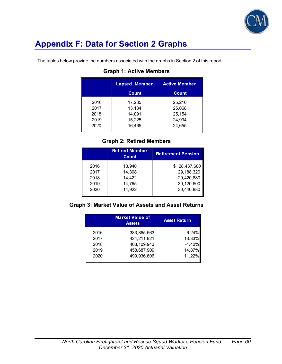

# **Appendix F: Data for Section 2 Graphs**

The tables below provide the numbers associated with the graphs in Section 2 of this report.

| <b>Lapsed Member</b> | <b>Active Member</b> |
|----------------------|----------------------|
| <b>Count</b>         | <b>Count</b>         |
| 17,235               | 25,210               |
| 13,134               | 25,068               |
| 14,091               | 25,154               |
| 15,225               | 24,994               |
| 16,465               | 24,655               |
|                      |                      |

### **Graph 1: Active Members**

### **Graph 2: Retired Members**

|      | <b>Retired Member</b><br>Count | <b>Retirement Pension</b> |
|------|--------------------------------|---------------------------|
| 2016 | 13.940                         | \$28,437,600              |
| 2017 | 14,308                         | 29, 188, 320              |
| 2018 | 14,422                         | 29,420,880                |
| 2019 | 14,765                         | 30,120,600                |
| 2020 | 14,922                         | 30,440,880                |

### **Graph 3: Market Value of Assets and Asset Returns**

|      | <b>Market Value of</b><br><b>Assets</b> | <b>Asset Return</b> |
|------|-----------------------------------------|---------------------|
| 2016 | 383,865,563                             | 6.24%               |
| 2017 | 424,211,921                             | 13.33%              |
| 2018 | 408, 109, 943                           | $-1.40%$            |
| 2019 | 458,687,909                             | 14.87%              |
| 2020 | 499,936,606                             | 11.22%              |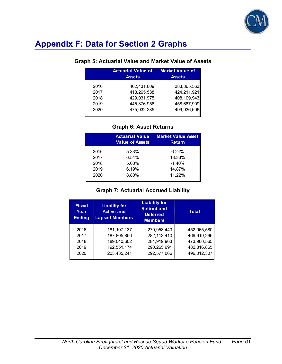

# **Appendix F: Data for Section 2 Graphs**

### **Graph 5: Actuarial Value and Market Value of Assets**

|                              | <b>Actuarial Value of</b><br><b>Assets</b>               | <b>Market Value of</b><br><b>Assets</b>                    |
|------------------------------|----------------------------------------------------------|------------------------------------------------------------|
| 2016<br>2017<br>2018<br>2019 | 402,431,609<br>418,265,538<br>429,031,975<br>445,876,956 | 383,865,563<br>424,211,921<br>408, 109, 943<br>458,687,909 |
| 2020                         | 475,032,285                                              | 499,936,606                                                |

### **Graph 6: Asset Returns**

|      | <b>Actuarial Value</b><br><b>Value of Assets</b> | <b>Market Value Asset</b><br><b>Return</b> |
|------|--------------------------------------------------|--------------------------------------------|
| 2016 | 5.33%                                            | $6.24\%$                                   |
| 2017 | 6.54%                                            | 13.33%                                     |
| 2018 | 5.08%                                            | $-1.40%$                                   |
| 2019 | 6.19%                                            | 14.87%                                     |
| 2020 | 8.80%                                            | 11.22%                                     |

### **Graph 7: Actuarial Accrued Liability**

| <b>Fiscal</b><br>Year<br><b>Ending</b> | <b>Liability for</b><br><b>Active and</b><br><b>Lapsed Members</b> | <b>Liability for</b><br><b>Retired and</b><br><b>Deferred</b><br><b>Members</b> | Total       |
|----------------------------------------|--------------------------------------------------------------------|---------------------------------------------------------------------------------|-------------|
| 2016                                   | 181, 107, 137                                                      | 270,958,443                                                                     | 452,065,580 |
| 2017                                   | 187,805,856                                                        | 282,113,410                                                                     | 469,919,266 |
| 2018                                   | 189,040,602                                                        | 284,919,963                                                                     | 473,960,565 |
| 2019                                   | 192,551,174                                                        | 290,265,691                                                                     | 482,816,865 |
| 2020                                   | 203,435,241                                                        | 292,577,066                                                                     | 496,012,307 |